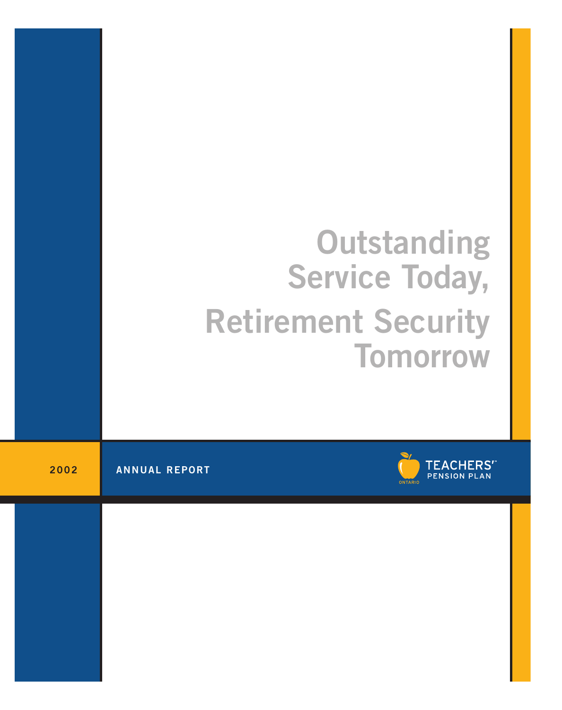# **Outstanding Service Today, Retirement Security Tomorrow**

**2002 ANNUAL REPORT**

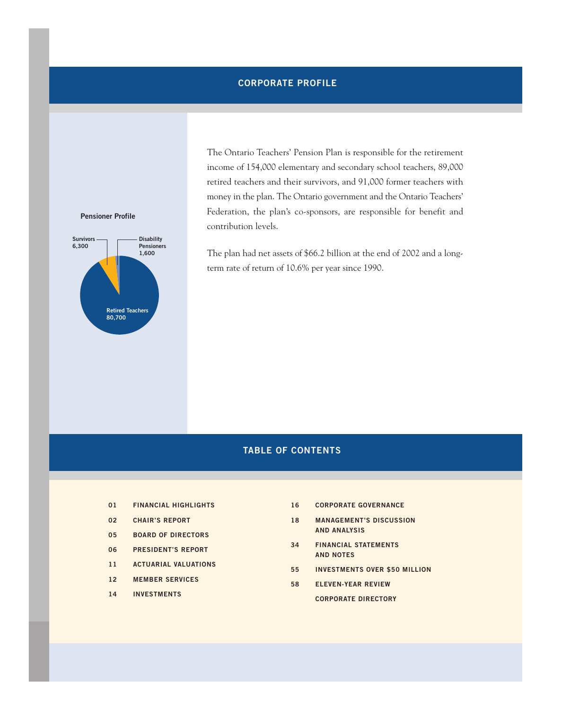## **CORPORATE PROFILE**

The Ontario Teachers' Pension Plan is responsible for the retirement income of 154,000 elementary and secondary school teachers, 89,000 retired teachers and their survivors, and 91,000 former teachers with money in the plan. The Ontario government and the Ontario Teachers' Federation, the plan's co-sponsors, are responsible for benefit and contribution levels.

The plan had net assets of \$66.2 billion at the end of 2002 and a longterm rate of return of 10.6% per year since 1990.

# **TABLE OF CONTENTS**

- **01 FINANCIAL HIGHLIGHTS**
- **02 CHAIR'S REPORT**
- **05 BOARD OF DIRECTORS**
- **06 PRESIDENT'S REPORT**
- **11 ACTUARIAL VALUATIONS**
- **12 MEMBER SERVICES**
- **14 INVESTMENTS**
- **16 CORPORATE GOVERNANCE**
- **18 MANAGEMENT'S DISCUSSION AND ANALYSIS**
- **34 FINANCIAL STATEMENTS AND NOTES**
- **55 INVESTMENTS OVER \$50 MILLION**
- **58 ELEVEN-YEAR REVIEW CORPORATE DIRECTORY**

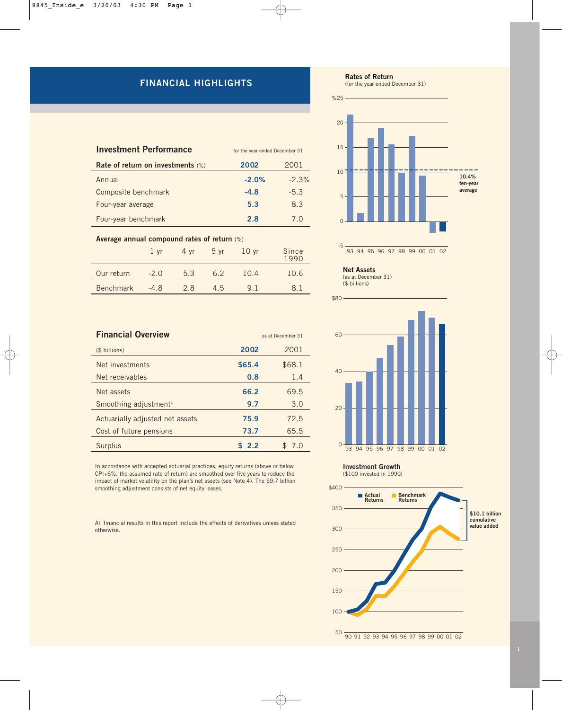# **FINANCIAL HIGHLIGHTS**

| <b>Investment Performance</b>     | for the year ended December 31 |         |
|-----------------------------------|--------------------------------|---------|
| Rate of return on investments (%) | 2002                           | 2001    |
| Annual                            | $-2.0%$                        | $-2.3%$ |
| Composite benchmark               | $-4.8$                         | $-5.3$  |
| Four-year average                 | 5.3                            | 8.3     |
| Four-year benchmark               | 2.8                            | 7 O     |

#### **Average annual compound rates of return** (%)

|                  | $1 \,$ vr | 4 vr | 5yr | 10 <sub>yr</sub> | Since<br>1990 |
|------------------|-----------|------|-----|------------------|---------------|
| Our return       | $-2.0$    | 5.3  | 62  | 10.4             | 10.6          |
| <b>Benchmark</b> | $-4.8$    | 2.8  | 4.5 | 91               | 81            |

| <b>Financial Overview</b>         | as at December 31 |        |  |
|-----------------------------------|-------------------|--------|--|
| (\$ billions)                     | 2002              | 2001   |  |
| Net investments                   | \$65.4            | \$68.1 |  |
| Net receivables                   | 0.8               | 1.4    |  |
| Net assets                        | 66.2              | 69.5   |  |
| Smoothing adjustment <sup>1</sup> | 9.7               | 3.0    |  |
| Actuarially adjusted net assets   | 75.9              | 72.5   |  |
| Cost of future pensions           | 73.7              | 65.5   |  |
| Surplus                           | \$2.2             | 7.0    |  |

<sup>1</sup> In accordance with accepted actuarial practices, equity returns (above or below CPI+6%, the assumed rate of return) are smoothed over five years to reduce the impact of market volatility on the plan's net assets (see Note 4). The \$9.7 billion smoothing adjustment consists of net equity losses.

All financial results in this report include the effects of derivatives unless stated otherwise.



-5  $\Omega$ 5  $10<sup>1</sup>$ 15 20 %25 **10.4% ten-year average**

93 94 95 96 97 98 99 00 01 02



(as at December 31) (\$ billions)



**Investment Growth**

#### (\$100 invested in 1990)

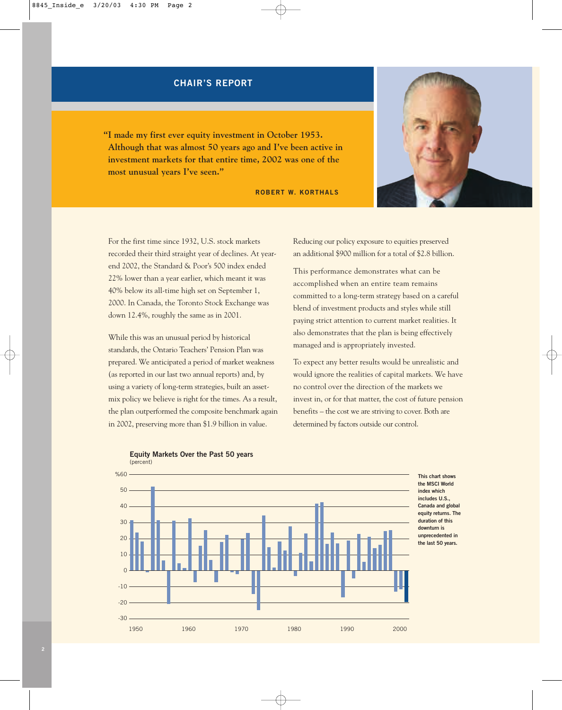## **CHAIR'S REPORT**

**"I made my first ever equity investment in October 1953. Although that was almost 50 years ago and I've been active in investment markets for that entire time, 2002 was one of the most unusual years I've seen."**

**ROBERT W. KORTHALS**



For the first time since 1932, U.S. stock markets recorded their third straight year of declines. At yearend 2002, the Standard & Poor's 500 index ended 22% lower than a year earlier, which meant it was 40% below its all-time high set on September 1, 2000. In Canada, the Toronto Stock Exchange was down 12.4%, roughly the same as in 2001.

While this was an unusual period by historical standards, the Ontario Teachers' Pension Plan was prepared. We anticipated a period of market weakness (as reported in our last two annual reports) and, by using a variety of long-term strategies, built an assetmix policy we believe is right for the times. As a result, the plan outperformed the composite benchmark again in 2002, preserving more than \$1.9 billion in value.

Reducing our policy exposure to equities preserved an additional \$900 million for a total of \$2.8 billion.

This performance demonstrates what can be accomplished when an entire team remains committed to a long-term strategy based on a careful blend of investment products and styles while still paying strict attention to current market realities. It also demonstrates that the plan is being effectively managed and is appropriately invested.

To expect any better results would be unrealistic and would ignore the realities of capital markets. We have no control over the direction of the markets we invest in, or for that matter, the cost of future pension benefits – the cost we are striving to cover. Both are determined by factors outside our control.



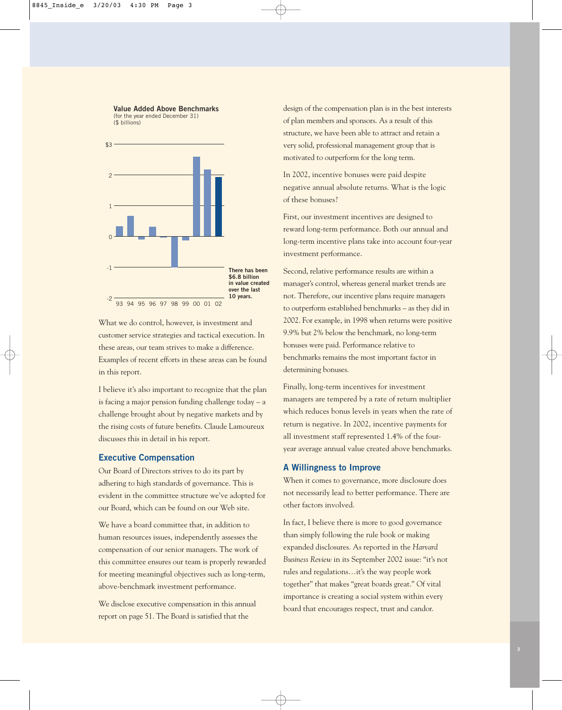**Value Added Above Benchmarks** (for the year ended December 31) (\$ billions)



What we do control, however, is investment and customer service strategies and tactical execution. In these areas, our team strives to make a difference. Examples of recent efforts in these areas can be found in this report.

I believe it's also important to recognize that the plan is facing a major pension funding challenge today – a challenge brought about by negative markets and by the rising costs of future benefits. Claude Lamoureux discusses this in detail in his report.

#### **Executive Compensation**

Our Board of Directors strives to do its part by adhering to high standards of governance. This is evident in the committee structure we've adopted for our Board, which can be found on our Web site.

We have a board committee that, in addition to human resources issues, independently assesses the compensation of our senior managers. The work of this committee ensures our team is properly rewarded for meeting meaningful objectives such as long-term, above-benchmark investment performance.

We disclose executive compensation in this annual report on page 51. The Board is satisfied that the

design of the compensation plan is in the best interests of plan members and sponsors. As a result of this structure, we have been able to attract and retain a very solid, professional management group that is motivated to outperform for the long term.

In 2002, incentive bonuses were paid despite negative annual absolute returns. What is the logic of these bonuses?

First, our investment incentives are designed to reward long-term performance. Both our annual and long-term incentive plans take into account four-year investment performance.

Second, relative performance results are within a manager's control, whereas general market trends are not. Therefore, our incentive plans require managers to outperform established benchmarks – as they did in 2002. For example, in 1998 when returns were positive 9.9% but 2% below the benchmark, no long-term bonuses were paid. Performance relative to benchmarks remains the most important factor in determining bonuses.

Finally, long-term incentives for investment managers are tempered by a rate of return multiplier which reduces bonus levels in years when the rate of return is negative. In 2002, incentive payments for all investment staff represented 1.4% of the fouryear average annual value created above benchmarks.

#### **A Willingness to Improve**

When it comes to governance, more disclosure does not necessarily lead to better performance. There are other factors involved.

In fact, I believe there is more to good governance than simply following the rule book or making expanded disclosures. As reported in the *Harvard Business Review* in its September 2002 issue: "it's not rules and regulations…it's the way people work together" that makes "great boards great." Of vital importance is creating a social system within every board that encourages respect, trust and candor.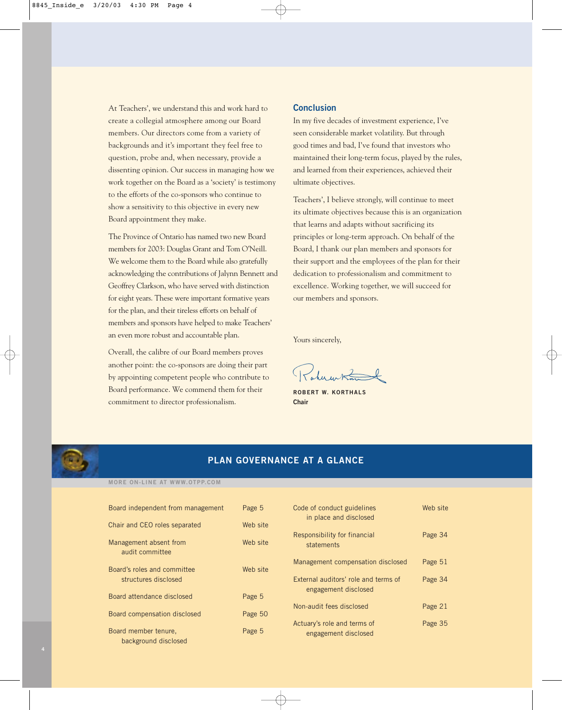At Teachers', we understand this and work hard to create a collegial atmosphere among our Board members. Our directors come from a variety of backgrounds and it's important they feel free to question, probe and, when necessary, provide a dissenting opinion. Our success in managing how we work together on the Board as a 'society' is testimony to the efforts of the co-sponsors who continue to show a sensitivity to this objective in every new Board appointment they make.

The Province of Ontario has named two new Board members for 2003: Douglas Grant and Tom O'Neill. We welcome them to the Board while also gratefully acknowledging the contributions of Jalynn Bennett and Geoffrey Clarkson, who have served with distinction for eight years. These were important formative years for the plan, and their tireless efforts on behalf of members and sponsors have helped to make Teachers' an even more robust and accountable plan.

Overall, the calibre of our Board members proves another point: the co-sponsors are doing their part by appointing competent people who contribute to Board performance. We commend them for their commitment to director professionalism.

#### **Conclusion**

In my five decades of investment experience, I've seen considerable market volatility. But through good times and bad, I've found that investors who maintained their long-term focus, played by the rules, and learned from their experiences, achieved their ultimate objectives.

Teachers', I believe strongly, will continue to meet its ultimate objectives because this is an organization that learns and adapts without sacrificing its principles or long-term approach. On behalf of the Board, I thank our plan members and sponsors for their support and the employees of the plan for their dedication to professionalism and commitment to excellence. Working together, we will succeed for our members and sponsors.

Yours sincerely,

 $R_{ab}$ 

**ROBERT W. KORTHALS Chair**



# **PLAN GOVERNANCE AT A GLANCE**

#### **MORE ON-LINE AT WWW.OTPP.COM**

| Board independent from management                   | Page 5   | Code of conduct guidelines<br>in place and disclosed         | Web site |
|-----------------------------------------------------|----------|--------------------------------------------------------------|----------|
| Chair and CEO roles separated                       | Web site |                                                              |          |
| Management absent from<br>audit committee           | Web site | Responsibility for financial<br>statements                   | Page 34  |
|                                                     |          | Management compensation disclosed                            | Page 51  |
| Board's roles and committee<br>structures disclosed | Web site | External auditors' role and terms of<br>engagement disclosed | Page 34  |
| Board attendance disclosed                          | Page 5   |                                                              |          |
| Board compensation disclosed                        | Page 50  | Non-audit fees disclosed                                     | Page 21  |
| Board member tenure.<br>background disclosed        | Page 5   | Actuary's role and terms of<br>engagement disclosed          | Page 35  |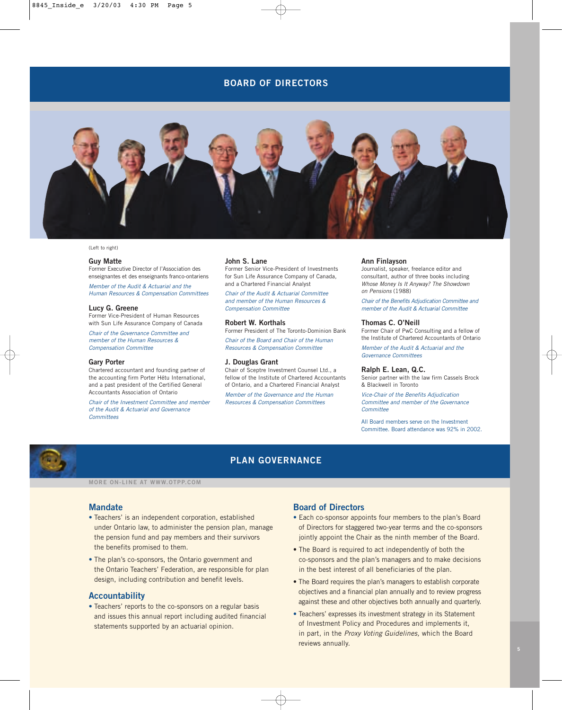## **BOARD OF DIRECTORS**



#### (Left to right)

#### **Guy Matte**

Former Executive Director of l'Association des enseignantes et des enseignants franco-ontariens

*Member of the Audit & Actuarial and the Human Resources & Compensation Committees*

#### **Lucy G. Greene**

Former Vice-President of Human Resources with Sun Life Assurance Company of Canada

*Chair of the Governance Committee and member of the Human Resources & Compensation Committee*

#### **Gary Porter**

Chartered accountant and founding partner of the accounting firm Porter Hétu International, and a past president of the Certified General Accountants Association of Ontario

*Chair of the Investment Committee and member of the Audit & Actuarial and Governance Committees*

#### **John S. Lane**

Former Senior Vice-President of Investments for Sun Life Assurance Company of Canada, and a Chartered Financial Analyst

*Chair of the Audit & Actuarial Committee and member of the Human Resources & Compensation Committee*

#### **Robert W. Korthals**

Former President of The Toronto-Dominion Bank

*Chair of the Board and Chair of the Human Resources & Compensation Committee*

#### **J. Douglas Grant**

Chair of Sceptre Investment Counsel Ltd., a fellow of the Institute of Chartered Accountants of Ontario, and a Chartered Financial Analyst

*Member of the Governance and the Human Resources & Compensation Committees*

#### **Ann Finlayson**

Journalist, speaker, freelance editor and consultant, author of three books including *Whose Money Is It Anyway? The Showdown on Pensions* (1988)

*Chair of the Benefits Adjudication Committee and member of the Audit & Actuarial Committee*

#### **Thomas C. O'Neill**

Former Chair of PwC Consulting and a fellow of the Institute of Chartered Accountants of Ontario

*Member of the Audit & Actuarial and the Governance Committees*

#### **Ralph E. Lean, Q.C.**

Senior partner with the law firm Cassels Brock & Blackwell in Toronto

*Vice-Chair of the Benefits Adjudication Committee and member of the Governance Committee*

All Board members serve on the Investment Committee. Board attendance was 92% in 2002.



## **PLAN GOVERNANCE**

**MORE ON-LINE AT WWW.OTPP.COM**

#### **Mandate**

- **•** Teachers' is an independent corporation, established under Ontario law, to administer the pension plan, manage the pension fund and pay members and their survivors the benefits promised to them.
- **•** The plan's co-sponsors, the Ontario government and the Ontario Teachers' Federation, are responsible for plan design, including contribution and benefit levels.

#### **Accountability**

**•** Teachers' reports to the co-sponsors on a regular basis and issues this annual report including audited financial statements supported by an actuarial opinion.

#### **Board of Directors**

- **•** Each co-sponsor appoints four members to the plan's Board of Directors for staggered two-year terms and the co-sponsors jointly appoint the Chair as the ninth member of the Board.
- **•** The Board is required to act independently of both the co-sponsors and the plan's managers and to make decisions in the best interest of all beneficiaries of the plan.
- **•** The Board requires the plan's managers to establish corporate objectives and a financial plan annually and to review progress against these and other objectives both annually and quarterly.
- **•** Teachers' expresses its investment strategy in its Statement of Investment Policy and Procedures and implements it, in part, in the *Proxy Voting Guidelines,* which the Board reviews annually.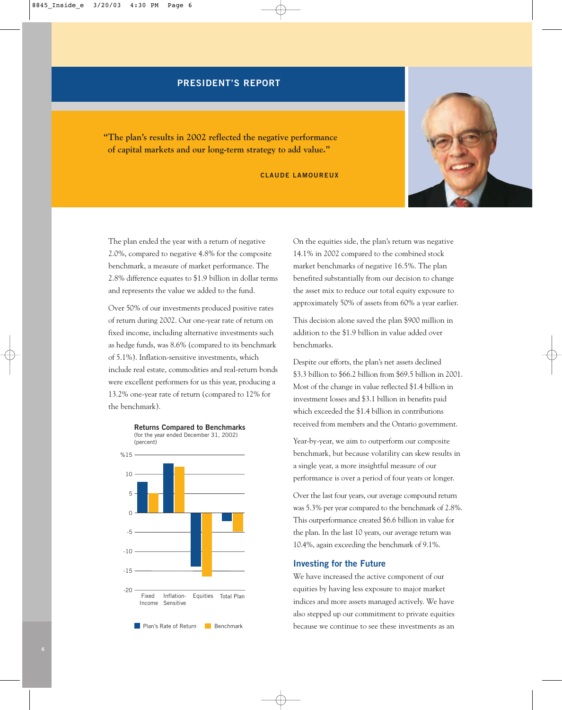## **PRESIDENT'S REPORT**

**"The plan's results in 2002 reflected the negative performance of capital markets and our long-term strategy to add value."**

**CLAUDE LAMOUREUX** 



The plan ended the year with a return of negative 2.0%, compared to negative 4.8% for the composite benchmark, a measure of market performance. The 2.8% difference equates to \$1.9 billion in dollar terms and represents the value we added to the fund.

Over 50% of our investments produced positive rates of return during 2002. Our one-year rate of return on fixed income, including alternative investments such as hedge funds, was 8.6% (compared to its benchmark of 5.1%). Inflation-sensitive investments, which include real estate, commodities and real-return bonds were excellent performers for us this year, producing a 13.2% one-year rate of return (compared to 12% for the benchmark).



On the equities side, the plan's return was negative 14.1% in 2002 compared to the combined stock market benchmarks of negative 16.5%. The plan benefited substantially from our decision to change the asset mix to reduce our total equity exposure to approximately 50% of assets from 60% a year earlier.

This decision alone saved the plan \$900 million in addition to the \$1.9 billion in value added over benchmarks.

Despite our efforts, the plan's net assets declined \$3.3 billion to \$66.2 billion from \$69.5 billion in 2001. Most of the change in value reflected \$1.4 billion in investment losses and \$3.1 billion in benefits paid which exceeded the \$1.4 billion in contributions received from members and the Ontario government.

Year-by-year, we aim to outperform our composite benchmark, but because volatility can skew results in a single year, a more insightful measure of our performance is over a period of four years or longer.

Over the last four years, our average compound return was 5.3% per year compared to the benchmark of 2.8%. This outperformance created \$6.6 billion in value for the plan. In the last 10 years, our average return was 10.4%, again exceeding the benchmark of 9.1%.

## **Investing for the Future**

We have increased the active component of our equities by having less exposure to major market indices and more assets managed actively. We have also stepped up our commitment to private equities because we continue to see these investments as an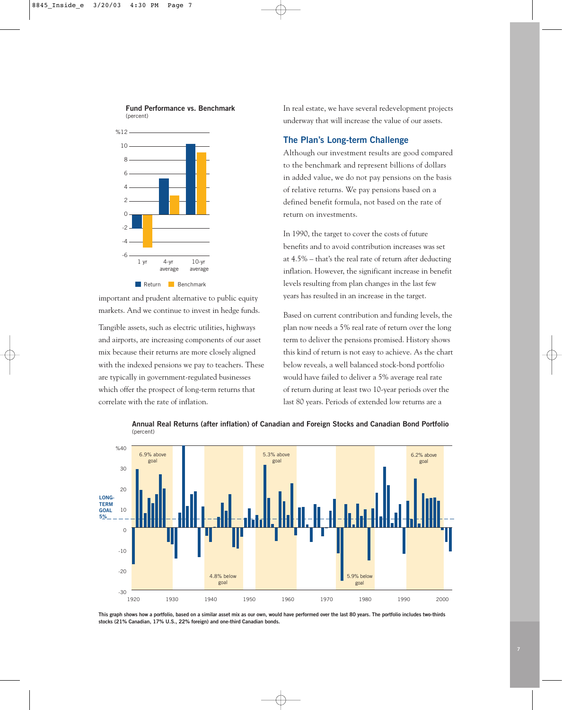

**Fund Performance vs. Benchmark**

important and prudent alternative to public equity markets. And we continue to invest in hedge funds.

Tangible assets, such as electric utilities, highways and airports, are increasing components of our asset mix because their returns are more closely aligned with the indexed pensions we pay to teachers. These are typically in government-regulated businesses which offer the prospect of long-term returns that correlate with the rate of inflation.

In real estate, we have several redevelopment projects underway that will increase the value of our assets.

## **The Plan's Long-term Challenge**

Although our investment results are good compared to the benchmark and represent billions of dollars in added value, we do not pay pensions on the basis of relative returns. We pay pensions based on a defined benefit formula, not based on the rate of return on investments.

In 1990, the target to cover the costs of future benefits and to avoid contribution increases was set at 4.5% – that's the real rate of return after deducting inflation. However, the significant increase in benefit levels resulting from plan changes in the last few years has resulted in an increase in the target.

Based on current contribution and funding levels, the plan now needs a 5% real rate of return over the long term to deliver the pensions promised. History shows this kind of return is not easy to achieve. As the chart below reveals, a well balanced stock-bond portfolio would have failed to deliver a 5% average real rate of return during at least two 10-year periods over the last 80 years. Periods of extended low returns are a



**Annual Real Returns (after inflation) of Canadian and Foreign Stocks and Canadian Bond Portfolio** (percent)

**This graph shows how a portfolio, based on a similar asset mix as our own, would have performed over the last 80 years. The portfolio includes two-thirds stocks (21% Canadian, 17% U.S., 22% foreign) and one-third Canadian bonds.**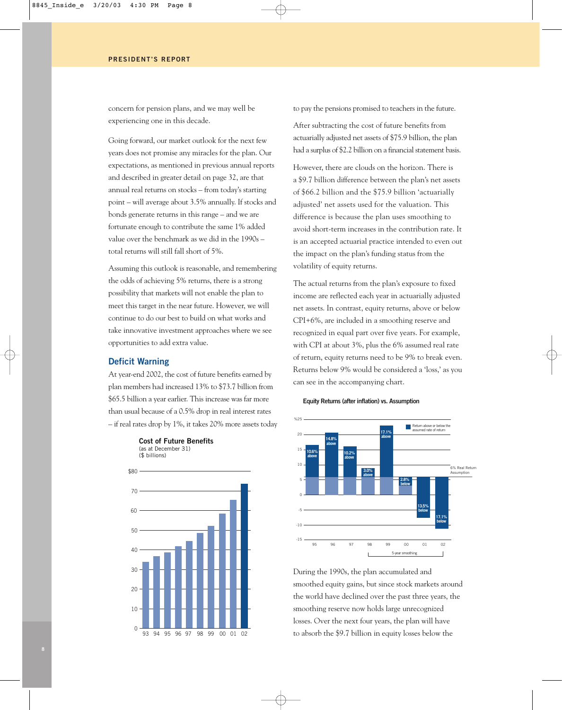concern for pension plans, and we may well be experiencing one in this decade.

Going forward, our market outlook for the next few years does not promise any miracles for the plan. Our expectations, as mentioned in previous annual reports and described in greater detail on page 32, are that annual real returns on stocks – from today's starting point – will average about 3.5% annually. If stocks and bonds generate returns in this range – and we are fortunate enough to contribute the same 1% added value over the benchmark as we did in the 1990s – total returns will still fall short of 5%.

Assuming this outlook is reasonable, and remembering the odds of achieving 5% returns, there is a strong possibility that markets will not enable the plan to meet this target in the near future. However, we will continue to do our best to build on what works and take innovative investment approaches where we see opportunities to add extra value.

#### **Deficit Warning**

At year-end 2002, the cost of future benefits earned by plan members had increased 13% to \$73.7 billion from \$65.5 billion a year earlier. This increase was far more than usual because of a 0.5% drop in real interest rates – if real rates drop by 1%, it takes 20% more assets today



to pay the pensions promised to teachers in the future.

After subtracting the cost of future benefits from actuarially adjusted net assets of \$75.9 billion, the plan had a surplus of \$2.2 billion on a financial statement basis.

However, there are clouds on the horizon. There is a \$9.7 billion difference between the plan's net assets of \$66.2 billion and the \$75.9 billion 'actuarially adjusted' net assets used for the valuation. This difference is because the plan uses smoothing to avoid short-term increases in the contribution rate. It is an accepted actuarial practice intended to even out the impact on the plan's funding status from the volatility of equity returns.

The actual returns from the plan's exposure to fixed income are reflected each year in actuarially adjusted net assets. In contrast, equity returns, above or below CPI+6%, are included in a smoothing reserve and recognized in equal part over five years. For example, with CPI at about 3%, plus the 6% assumed real rate of return, equity returns need to be 9% to break even. Returns below 9% would be considered a 'loss,' as you can see in the accompanying chart.



During the 1990s, the plan accumulated and smoothed equity gains, but since stock markets around the world have declined over the past three years, the smoothing reserve now holds large unrecognized losses. Over the next four years, the plan will have to absorb the \$9.7 billion in equity losses below the

#### **Equity Returns (after inflation) vs. Assumption**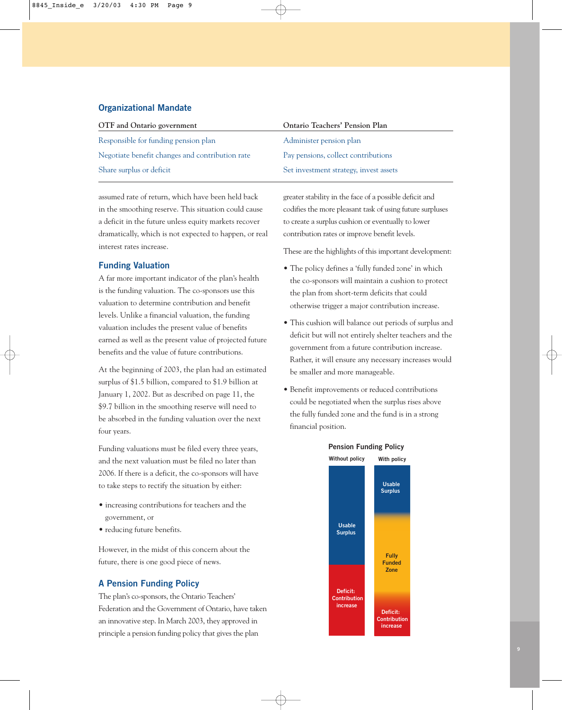## **Organizational Mandate**

| OTF and Ontario government                      | <b>Ontario Teachers' Pension Plan</b>  |
|-------------------------------------------------|----------------------------------------|
| Responsible for funding pension plan            | Administer pension plan                |
| Negotiate benefit changes and contribution rate | Pay pensions, collect contributions    |
| Share surplus or deficit                        | Set investment strategy, invest assets |

assumed rate of return, which have been held back in the smoothing reserve. This situation could cause a deficit in the future unless equity markets recover dramatically, which is not expected to happen, or real interest rates increase.

## **Funding Valuation**

A far more important indicator of the plan's health is the funding valuation. The co-sponsors use this valuation to determine contribution and benefit levels. Unlike a financial valuation, the funding valuation includes the present value of benefits earned as well as the present value of projected future benefits and the value of future contributions.

At the beginning of 2003, the plan had an estimated surplus of \$1.5 billion, compared to \$1.9 billion at January 1, 2002. But as described on page 11, the \$9.7 billion in the smoothing reserve will need to be absorbed in the funding valuation over the next four years.

Funding valuations must be filed every three years, and the next valuation must be filed no later than 2006. If there is a deficit, the co-sponsors will have to take steps to rectify the situation by either:

- increasing contributions for teachers and the government, or
- reducing future benefits.

However, in the midst of this concern about the future, there is one good piece of news.

## **A Pension Funding Policy**

The plan's co-sponsors, the Ontario Teachers' Federation and the Government of Ontario, have taken an innovative step. In March 2003, they approved in principle a pension funding policy that gives the plan

greater stability in the face of a possible deficit and codifies the more pleasant task of using future surpluses to create a surplus cushion or eventually to lower contribution rates or improve benefit levels.

These are the highlights of this important development:

- The policy defines a 'fully funded zone' in which the co-sponsors will maintain a cushion to protect the plan from short-term deficits that could otherwise trigger a major contribution increase.
- This cushion will balance out periods of surplus and deficit but will not entirely shelter teachers and the government from a future contribution increase. Rather, it will ensure any necessary increases would be smaller and more manageable.
- Benefit improvements or reduced contributions could be negotiated when the surplus rises above the fully funded zone and the fund is in a strong financial position.



#### **Pension Funding Policy**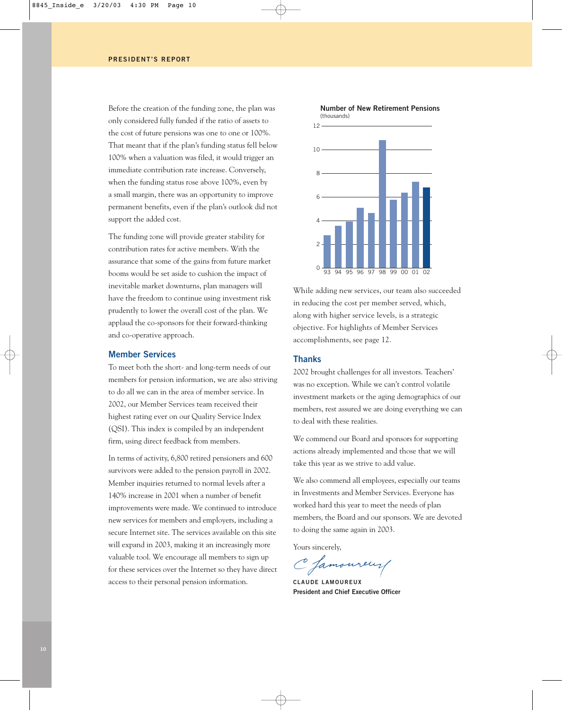Before the creation of the funding zone, the plan was only considered fully funded if the ratio of assets to the cost of future pensions was one to one or 100%. That meant that if the plan's funding status fell below 100% when a valuation was filed, it would trigger an immediate contribution rate increase. Conversely, when the funding status rose above 100%, even by a small margin, there was an opportunity to improve permanent benefits, even if the plan's outlook did not support the added cost.

The funding zone will provide greater stability for contribution rates for active members. With the assurance that some of the gains from future market booms would be set aside to cushion the impact of inevitable market downturns, plan managers will have the freedom to continue using investment risk prudently to lower the overall cost of the plan. We applaud the co-sponsors for their forward-thinking and co-operative approach.

#### **Member Services**

To meet both the short- and long-term needs of our members for pension information, we are also striving to do all we can in the area of member service. In 2002, our Member Services team received their highest rating ever on our Quality Service Index (QSI). This index is compiled by an independent firm, using direct feedback from members.

In terms of activity, 6,800 retired pensioners and 600 survivors were added to the pension payroll in 2002. Member inquiries returned to normal levels after a 140% increase in 2001 when a number of benefit improvements were made. We continued to introduce new services for members and employers, including a secure Internet site. The services available on this site will expand in 2003, making it an increasingly more valuable tool. We encourage all members to sign up for these services over the Internet so they have direct access to their personal pension information.



While adding new services, our team also succeeded in reducing the cost per member served, which, along with higher service levels, is a strategic objective. For highlights of Member Services accomplishments, see page 12.

#### **Thanks**

2002 brought challenges for all investors. Teachers' was no exception. While we can't control volatile investment markets or the aging demographics of our members, rest assured we are doing everything we can to deal with these realities.

We commend our Board and sponsors for supporting actions already implemented and those that we will take this year as we strive to add value.

We also commend all employees, especially our teams in Investments and Member Services. Everyone has worked hard this year to meet the needs of plan members, the Board and our sponsors. We are devoted to doing the same again in 2003.

Yours sincerely,

C famoureur

**CLAUDE LAMOUREUX President and Chief Executive Officer**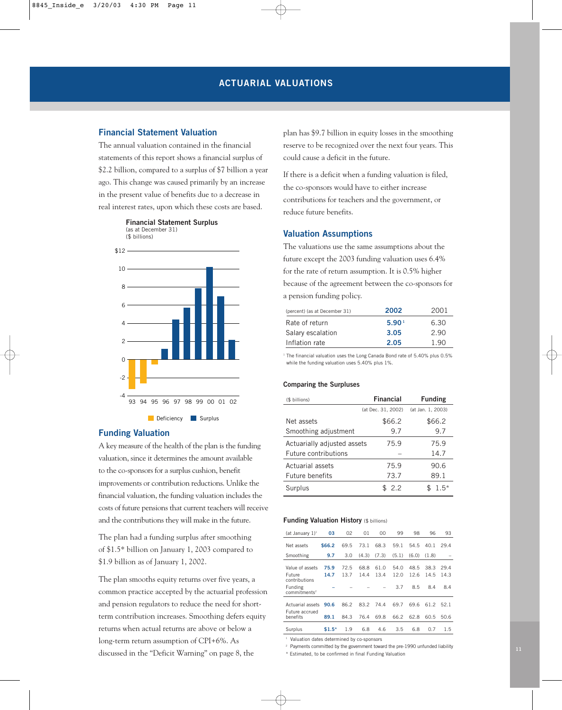## **Financial Statement Valuation**

The annual valuation contained in the financial statements of this report shows a financial surplus of \$2.2 billion, compared to a surplus of \$7 billion a year ago. This change was caused primarily by an increase in the present value of benefits due to a decrease in real interest rates, upon which these costs are based.







#### **Funding Valuation**

A key measure of the health of the plan is the funding valuation, since it determines the amount available to the co-sponsors for a surplus cushion, benefit improvements or contribution reductions. Unlike the financial valuation, the funding valuation includes the costs of future pensions that current teachers will receive and the contributions they will make in the future.

The plan had a funding surplus after smoothing of \$1.5\* billion on January 1, 2003 compared to \$1.9 billion as of January 1, 2002.

The plan smooths equity returns over five years, a common practice accepted by the actuarial profession and pension regulators to reduce the need for shortterm contribution increases. Smoothing defers equity returns when actual returns are above or below a long-term return assumption of CPI+6%. As discussed in the "Deficit Warning" on page 8, the

plan has \$9.7 billion in equity losses in the smoothing reserve to be recognized over the next four years. This could cause a deficit in the future.

If there is a deficit when a funding valuation is filed, the co-sponsors would have to either increase contributions for teachers and the government, or reduce future benefits.

## **Valuation Assumptions**

The valuations use the same assumptions about the future except the 2003 funding valuation uses 6.4% for the rate of return assumption. It is 0.5% higher because of the agreement between the co-sponsors for a pension funding policy.

| (percent) (as at December 31) | 2002              | 2001 |
|-------------------------------|-------------------|------|
| Rate of return                | 5.90 <sup>1</sup> | 6.30 |
| Salary escalation             | 3.05              | 2.90 |
| Inflation rate                | 2.05              | 1.90 |

<sup>1</sup> The financial valuation uses the Long Canada Bond rate of 5.40% plus 0.5% while the funding valuation uses 5.40% plus 1%.

#### **Comparing the Surpluses**

| (\$ billions)               | <b>Financial</b>   | <b>Funding</b>    |
|-----------------------------|--------------------|-------------------|
|                             | (at Dec. 31, 2002) | (at Jan. 1, 2003) |
| Net assets                  | \$66.2             | \$66.2            |
| Smoothing adjustment        | 9.7                | 9.7               |
| Actuarially adjusted assets | 75.9               | 75.9              |
| Future contributions        |                    | 14.7              |
| Actuarial assets            | 75.9               | 90.6              |
| Future benefits             | 73.7               | 89.1              |
| Surplus                     | \$2.2              | $1.5*$            |

#### **Funding Valuation History** (\$ billions)

| (at January $1$ ) <sup>1</sup>                    | 03           | 02           | 01           | 00           | 99           | 98           | 96           | 93           |
|---------------------------------------------------|--------------|--------------|--------------|--------------|--------------|--------------|--------------|--------------|
| Net assets                                        | \$66.2       | 69.5         | 73.1         | 68.3         | 59.1         | 54.5         | 40.1         | 29.4         |
| Smoothing                                         | 9.7          | 3.0          | (4.3)        | (7.3)        | (5.1)        | (6.0)        | (1.8)        |              |
| Value of assets<br><b>Future</b><br>contributions | 75.9<br>14.7 | 72.5<br>13.7 | 68.8<br>14.4 | 61.0<br>13.4 | 54.0<br>12.0 | 48.5<br>12.6 | 38.3<br>14.5 | 29.4<br>14.3 |
| Funding<br>commitments <sup>2</sup>               |              |              |              |              | 3.7          | 8.5          | 8.4          | 8.4          |
| Actuarial assets<br>Future accrued                | 90.6         | 86.2         | 83.2         | 74.4         | 69.7         | 69.6         | 61.2         | 52.1         |
| benefits                                          | 89.1         | 84.3         | 76.4         | 69.8         | 66.2         | 62.8         | 60.5         | 50.6         |
| Surplus                                           | $$1.5*$      | 1.9          | 6.8          | 4.6          | 3.5          | 6.8          | 0.7          | 1.5          |

<sup>1</sup> Valuation dates determined by co-sponsors

<sup>2</sup> Payments committed by the government toward the pre-1990 unfunded liability \* Estimated, to be confirmed in final Funding Valuation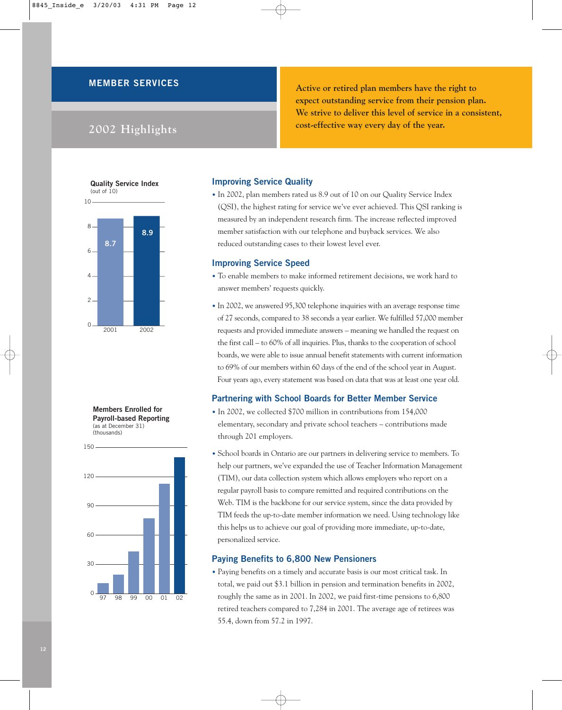## **MEMBER SERVICES**

# **2002 Highlights**

**Active or retired plan members have the right to expect outstanding service from their pension plan. We strive to deliver this level of service in a consistent, cost-effective way every day of the year.** 







## **Improving Service Quality**

• In 2002, plan members rated us 8.9 out of 10 on our Quality Service Index (QSI), the highest rating for service we've ever achieved. This QSI ranking is measured by an independent research firm. The increase reflected improved member satisfaction with our telephone and buyback services. We also reduced outstanding cases to their lowest level ever.

#### **Improving Service Speed**

- To enable members to make informed retirement decisions, we work hard to answer members' requests quickly.
- In 2002, we answered 95,300 telephone inquiries with an average response time of 27 seconds, compared to 38 seconds a year earlier. We fulfilled 57,000 member requests and provided immediate answers – meaning we handled the request on the first call – to 60% of all inquiries. Plus, thanks to the cooperation of school boards, we were able to issue annual benefit statements with current information to 69% of our members within 60 days of the end of the school year in August. Four years ago, every statement was based on data that was at least one year old.

#### **Partnering with School Boards for Better Member Service**

- In 2002, we collected \$700 million in contributions from 154,000 elementary, secondary and private school teachers – contributions made through 201 employers.
- School boards in Ontario are our partners in delivering service to members. To help our partners, we've expanded the use of Teacher Information Management (TIM), our data collection system which allows employers who report on a regular payroll basis to compare remitted and required contributions on the Web. TIM is the backbone for our service system, since the data provided by TIM feeds the up-to-date member information we need. Using technology like this helps us to achieve our goal of providing more immediate, up-to-date, personalized service.

## **Paying Benefits to 6,800 New Pensioners**

• Paying benefits on a timely and accurate basis is our most critical task. In total, we paid out \$3.1 billion in pension and termination benefits in 2002, roughly the same as in 2001. In 2002, we paid first-time pensions to 6,800 retired teachers compared to 7,284 in 2001. The average age of retirees was 55.4, down from 57.2 in 1997.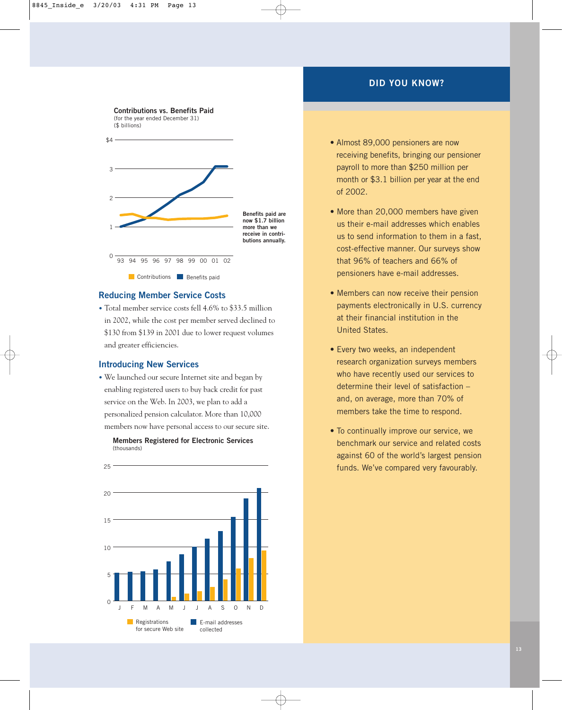## **DID YOU KNOW?**



#### **Reducing Member Service Costs**

• Total member service costs fell 4.6% to \$33.5 million in 2002, while the cost per member served declined to \$130 from \$139 in 2001 due to lower request volumes and greater efficiencies.

#### **Introducing New Services**

• We launched our secure Internet site and began by enabling registered users to buy back credit for past service on the Web. In 2003, we plan to add a personalized pension calculator. More than 10,000 members now have personal access to our secure site.





- Almost 89,000 pensioners are now receiving benefits, bringing our pensioner payroll to more than \$250 million per month or \$3.1 billion per year at the end of 2002.
- More than 20,000 members have given us their e-mail addresses which enables us to send information to them in a fast, cost-effective manner. Our surveys show that 96% of teachers and 66% of pensioners have e-mail addresses.
- Members can now receive their pension payments electronically in U.S. currency at their financial institution in the United States.
- Every two weeks, an independent research organization surveys members who have recently used our services to determine their level of satisfaction – and, on average, more than 70% of members take the time to respond.
- To continually improve our service, we benchmark our service and related costs against 60 of the world's largest pension funds. We've compared very favourably.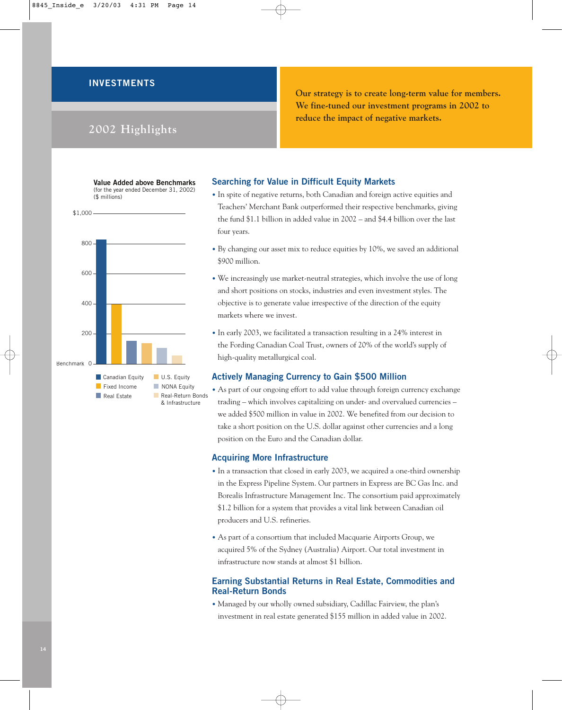## **INVESTMENTS**

# **2002 Highlights**

**Our strategy is to create long-term value for members. We fine-tuned our investment programs in 2002 to reduce the impact of negative markets.**





#### **Searching for Value in Difficult Equity Markets**

- In spite of negative returns, both Canadian and foreign active equities and Teachers' Merchant Bank outperformed their respective benchmarks, giving the fund \$1.1 billion in added value in 2002 – and \$4.4 billion over the last four years.
- By changing our asset mix to reduce equities by 10%, we saved an additional \$900 million.
- We increasingly use market-neutral strategies, which involve the use of long and short positions on stocks, industries and even investment styles. The objective is to generate value irrespective of the direction of the equity markets where we invest.
- In early 2003, we facilitated a transaction resulting in a 24% interest in the Fording Canadian Coal Trust, owners of 20% of the world's supply of high-quality metallurgical coal.

#### **Actively Managing Currency to Gain \$500 Million**

• As part of our ongoing effort to add value through foreign currency exchange trading – which involves capitalizing on under- and overvalued currencies – we added \$500 million in value in 2002. We benefited from our decision to take a short position on the U.S. dollar against other currencies and a long position on the Euro and the Canadian dollar.

#### **Acquiring More Infrastructure**

- In a transaction that closed in early 2003, we acquired a one-third ownership in the Express Pipeline System. Our partners in Express are BC Gas Inc. and Borealis Infrastructure Management Inc. The consortium paid approximately \$1.2 billion for a system that provides a vital link between Canadian oil producers and U.S. refineries.
- As part of a consortium that included Macquarie Airports Group, we acquired 5% of the Sydney (Australia) Airport. Our total investment in infrastructure now stands at almost \$1 billion.

## **Earning Substantial Returns in Real Estate, Commodities and Real-Return Bonds**

• Managed by our wholly owned subsidiary, Cadillac Fairview, the plan's investment in real estate generated \$155 million in added value in 2002.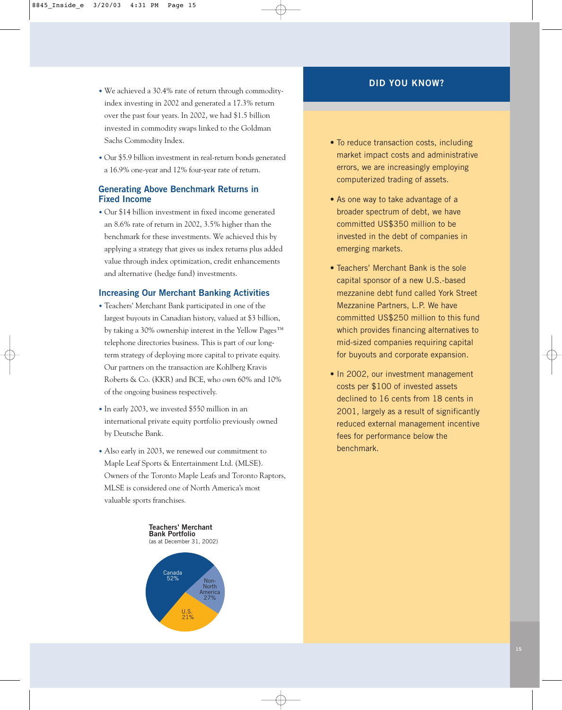- We achieved a 30.4% rate of return through commodityindex investing in 2002 and generated a 17.3% return over the past four years. In 2002, we had \$1.5 billion invested in commodity swaps linked to the Goldman Sachs Commodity Index.
- Our \$5.9 billion investment in real-return bonds generated a 16.9% one-year and 12% four-year rate of return.

## **Generating Above Benchmark Returns in Fixed Income**

• Our \$14 billion investment in fixed income generated an 8.6% rate of return in 2002, 3.5% higher than the benchmark for these investments. We achieved this by applying a strategy that gives us index returns plus added value through index optimization, credit enhancements and alternative (hedge fund) investments.

## **Increasing Our Merchant Banking Activities**

- Teachers' Merchant Bank participated in one of the largest buyouts in Canadian history, valued at \$3 billion, by taking a 30% ownership interest in the Yellow Pages™ telephone directories business. This is part of our longterm strategy of deploying more capital to private equity. Our partners on the transaction are Kohlberg Kravis Roberts & Co. (KKR) and BCE, who own 60% and 10% of the ongoing business respectively.
- In early 2003, we invested \$550 million in an international private equity portfolio previously owned by Deutsche Bank.
- Also early in 2003, we renewed our commitment to Maple Leaf Sports & Entertainment Ltd. (MLSE). Owners of the Toronto Maple Leafs and Toronto Raptors, MLSE is considered one of North America's most valuable sports franchises.

**Teachers' Merchant Bank Portfolio** (as at December 31, 2002)



## **DID YOU KNOW?**

- To reduce transaction costs, including market impact costs and administrative errors, we are increasingly employing computerized trading of assets.
- As one way to take advantage of a broader spectrum of debt, we have committed US\$350 million to be invested in the debt of companies in emerging markets.
- Teachers' Merchant Bank is the sole capital sponsor of a new U.S.-based mezzanine debt fund called York Street Mezzanine Partners, L.P. We have committed US\$250 million to this fund which provides financing alternatives to mid-sized companies requiring capital for buyouts and corporate expansion.
- In 2002, our investment management costs per \$100 of invested assets declined to 16 cents from 18 cents in 2001, largely as a result of significantly reduced external management incentive fees for performance below the benchmark.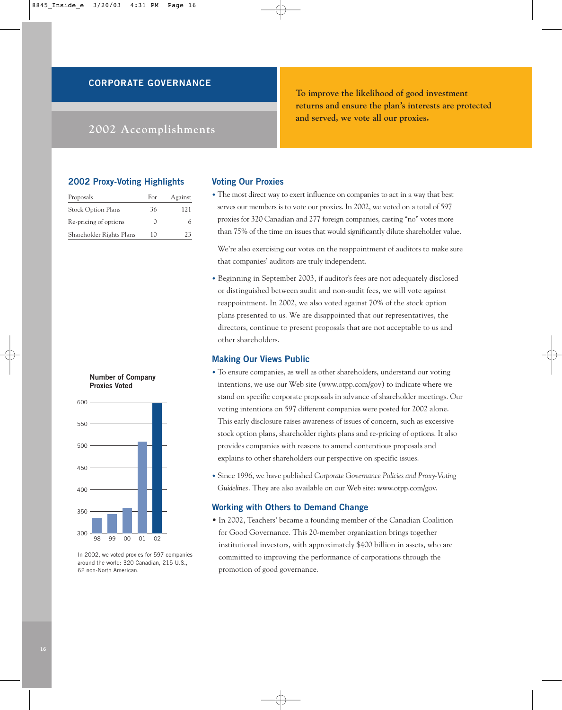## **CORPORATE GOVERNANCE**

# **2002 Accomplishments**

**To improve the likelihood of good investment returns and ensure the plan's interests are protected and served, we vote all our proxies.** 

## **2002 Proxy-Voting Highlights**

| Proposals                 | For | Against |
|---------------------------|-----|---------|
| <b>Stock Option Plans</b> | 36  | 121     |
| Re-pricing of options     |     | h       |
| Shareholder Rights Plans  | 10  | 23      |

#### **Number of Company Proxies Voted**



In 2002, we voted proxies for 597 companies around the world: 320 Canadian, 215 U.S., 62 non-North American.

#### **Voting Our Proxies**

• The most direct way to exert influence on companies to act in a way that best serves our members is to vote our proxies. In 2002, we voted on a total of 597 proxies for 320 Canadian and 277 foreign companies, casting "no" votes more than 75% of the time on issues that would significantly dilute shareholder value.

We're also exercising our votes on the reappointment of auditors to make sure that companies' auditors are truly independent.

• Beginning in September 2003, if auditor's fees are not adequately disclosed or distinguished between audit and non-audit fees, we will vote against reappointment. In 2002, we also voted against 70% of the stock option plans presented to us. We are disappointed that our representatives, the directors, continue to present proposals that are not acceptable to us and other shareholders.

## **Making Our Views Public**

- To ensure companies, as well as other shareholders, understand our voting intentions, we use our Web site (www.otpp.com/gov) to indicate where we stand on specific corporate proposals in advance of shareholder meetings. Our voting intentions on 597 different companies were posted for 2002 alone. This early disclosure raises awareness of issues of concern, such as excessive stock option plans, shareholder rights plans and re-pricing of options. It also provides companies with reasons to amend contentious proposals and explains to other shareholders our perspective on specific issues.
- Since 1996, we have published *Corporate Governance Policies and Proxy-Voting Guidelines.* They are also available on our Web site: www.otpp.com/gov.

#### **Working with Others to Demand Change**

• In 2002, Teachers' became a founding member of the Canadian Coalition for Good Governance. This 20-member organization brings together institutional investors, with approximately \$400 billion in assets, who are committed to improving the performance of corporations through the promotion of good governance.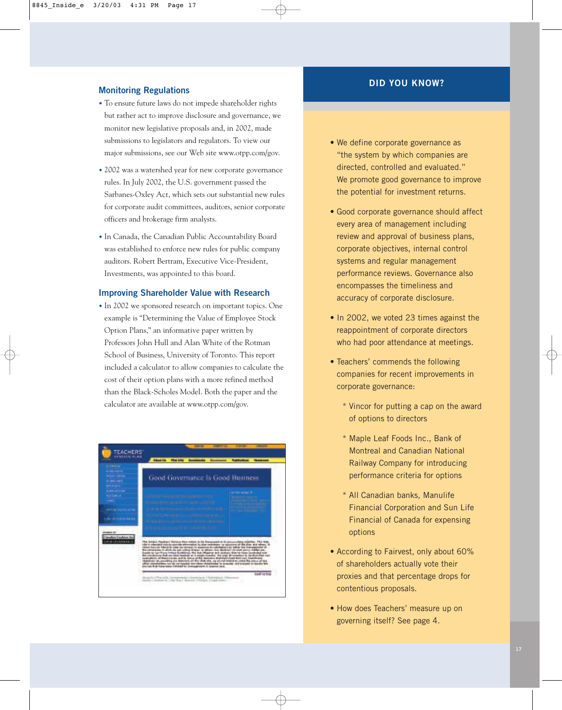## **Monitoring Regulations**

- To ensure future laws do not impede shareholder rights but rather act to improve disclosure and governance, we monitor new legislative proposals and, in 2002, made submissions to legislators and regulators. To view our major submissions, see our Web site www.otpp.com/gov.
- 2002 was a watershed year for new corporate governance rules. In July 2002, the U.S. government passed the Sarbanes-Oxley Act, which sets out substantial new rules for corporate audit committees, auditors, senior corporate officers and brokerage firm analysts.
- In Canada, the Canadian Public Accountability Board was established to enforce new rules for public company auditors. Robert Bertram, Executive Vice-President, Investments, was appointed to this board.

#### **Improving Shareholder Value with Research**

• In 2002 we sponsored research on important topics. One example is "Determining the Value of Employee Stock Option Plans," an informative paper written by Professors John Hull and Alan White of the Rotman School of Business, University of Toronto. This report included a calculator to allow companies to calculate the cost of their option plans with a more refined method than the Black-Scholes Model. Both the paper and the calculator are available at www.otpp.com/gov.



## **DID YOU KNOW?**

- We define corporate governance as "the system by which companies are directed, controlled and evaluated." We promote good governance to improve the potential for investment returns.
- Good corporate governance should affect every area of management including review and approval of business plans, corporate objectives, internal control systems and regular management performance reviews. Governance also encompasses the timeliness and accuracy of corporate disclosure.
- In 2002, we voted 23 times against the reappointment of corporate directors who had poor attendance at meetings.
- Teachers' commends the following companies for recent improvements in corporate governance:
	- \* Vincor for putting a cap on the award of options to directors
	- \* Maple Leaf Foods Inc., Bank of Montreal and Canadian National Railway Company for introducing performance criteria for options
	- \* All Canadian banks, Manulife Financial Corporation and Sun Life Financial of Canada for expensing options
- According to Fairvest, only about 60% of shareholders actually vote their proxies and that percentage drops for contentious proposals.
- How does Teachers' measure up on governing itself? See page 4.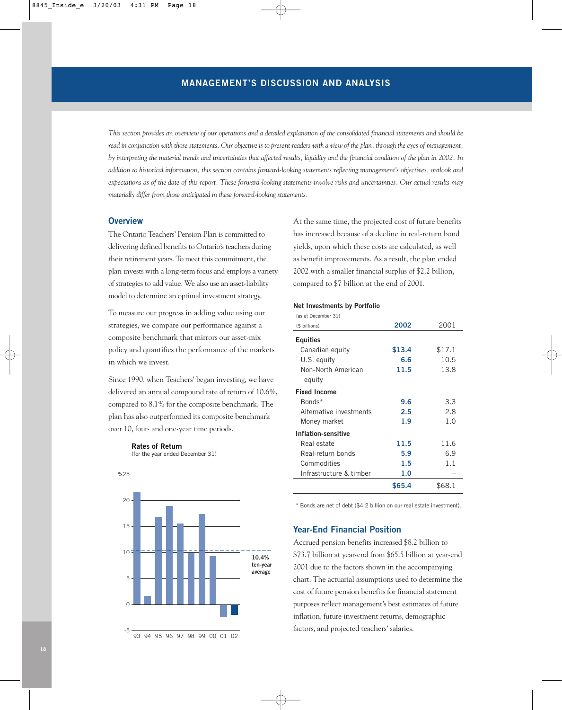*This section provides an overview of our operations and a detailed explanation of the consolidated financial statements and should be read in conjunction with those statements. Our objective is to present readers with a view of the plan, through the eyes of management, by interpreting the material trends and uncertainties that affected results, liquidity and the financial condition of the plan in 2002. In addition to historical information, this section contains forward-looking statements reflecting management's objectives, outlook and expectations as of the date of this report. These forward-looking statements involve risks and uncertainties. Our actual results may materially differ from those anticipated in these forward-looking statements.* 

## **Overview**

The Ontario Teachers' Pension Plan is committed to delivering defined benefits to Ontario's teachers during their retirement years. To meet this commitment, the plan invests with a long-term focus and employs a variety of strategies to add value. We also use an asset-liability model to determine an optimal investment strategy.

To measure our progress in adding value using our strategies, we compare our performance against a composite benchmark that mirrors our asset-mix policy and quantifies the performance of the markets in which we invest.

Since 1990, when Teachers' began investing, we have delivered an annual compound rate of return of 10.6%, compared to 8.1% for the composite benchmark. The plan has also outperformed its composite benchmark over 10, four- and one-year time periods.



(for the year ended December 31)



At the same time, the projected cost of future benefits has increased because of a decline in real-return bond yields, upon which these costs are calculated, as well as benefit improvements. As a result, the plan ended 2002 with a smaller financial surplus of \$2.2 billion, compared to \$7 billion at the end of 2001.

#### **Net Investments by Portfolio**

| (as at December 31)        |        |        |
|----------------------------|--------|--------|
| (\$ billions)              | 2002   | 2001   |
| <b>Equities</b>            |        |        |
| Canadian equity            | \$13.4 | \$17.1 |
| U.S. equity                | 6.6    | 10.5   |
| Non-North American         | 11.5   | 13.8   |
| equity                     |        |        |
| <b>Fixed Income</b>        |        |        |
| Bonds*                     | 9.6    | 3.3    |
| Alternative investments    | 2.5    | 2.8    |
| Money market               | 1.9    | 1.0    |
| <b>Inflation-sensitive</b> |        |        |
| Real estate                | 11.5   | 11.6   |
| Real-return bonds          | 5.9    | 6.9    |
| Commodities                | 1.5    | 1.1    |
| Infrastructure & timber    | 1.0    |        |
|                            | \$65.4 | \$68.1 |

\* Bonds are net of debt (\$4.2 billion on our real estate investment).

## **Year-End Financial Position**

Accrued pension benefits increased \$8.2 billion to \$73.7 billion at year-end from \$65.5 billion at year-end 2001 due to the factors shown in the accompanying chart. The actuarial assumptions used to determine the cost of future pension benefits for financial statement purposes reflect management's best estimates of future inflation, future investment returns, demographic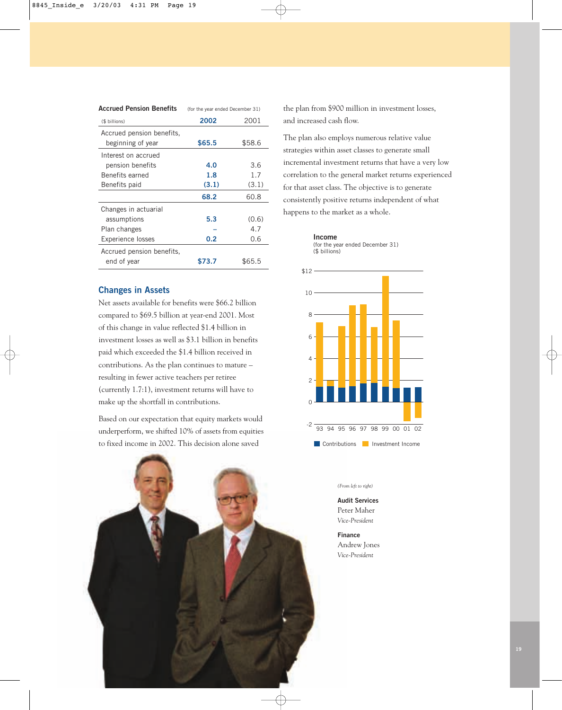| <b>Accrued Pension Benefits</b> | (for the year ended December 31) |        |  |
|---------------------------------|----------------------------------|--------|--|
| (\$ billions)                   | 2002                             | 2001   |  |
| Accrued pension benefits,       |                                  |        |  |
| beginning of year               | \$65.5                           | \$58.6 |  |
| Interest on accrued             |                                  |        |  |
| pension benefits                | 4.0                              | 3.6    |  |
| <b>Benefits earned</b>          | 1.8                              | 1.7    |  |
| Benefits paid                   | (3.1)                            | (3.1)  |  |
|                                 | 68.2                             | 60.8   |  |
| Changes in actuarial            |                                  |        |  |
| assumptions                     | 5.3                              | (0.6)  |  |
| Plan changes                    |                                  | 4.7    |  |
| <b>Experience losses</b>        | 0.2                              | 0.6    |  |
| Accrued pension benefits,       |                                  |        |  |
| end of year                     | \$73.7                           | \$65.5 |  |

## **Changes in Assets**

Net assets available for benefits were \$66.2 billion compared to \$69.5 billion at year-end 2001. Most of this change in value reflected \$1.4 billion in investment losses as well as \$3.1 billion in benefits paid which exceeded the \$1.4 billion received in contributions. As the plan continues to mature – resulting in fewer active teachers per retiree (currently 1.7:1), investment returns will have to make up the shortfall in contributions.

Based on our expectation that equity markets would underperform, we shifted 10% of assets from equities to fixed income in 2002. This decision alone saved



the plan from \$900 million in investment losses, and increased cash flow.

The plan also employs numerous relative value strategies within asset classes to generate small incremental investment returns that have a very low correlation to the general market returns experienced for that asset class. The objective is to generate consistently positive returns independent of what happens to the market as a whole.



(\$ billions)



#### *(From left to right)*

**Audit Services** Peter Maher *Vice-President*

**Finance** Andrew Jones *Vice-President*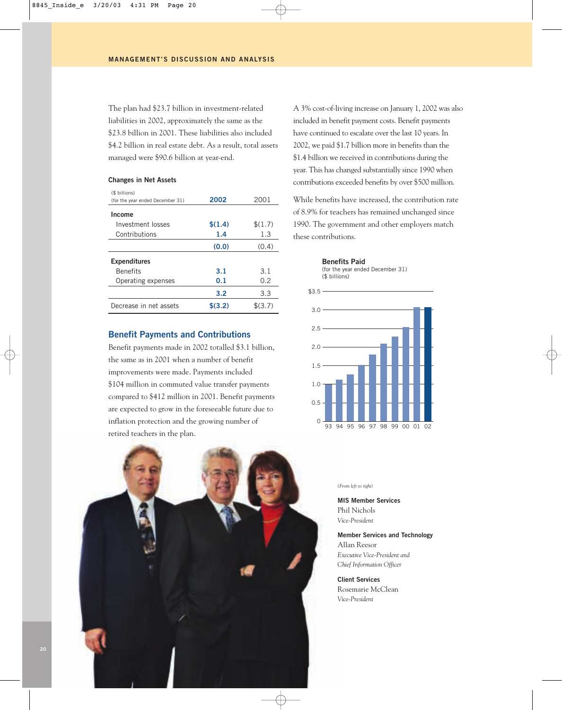The plan had \$23.7 billion in investment-related liabilities in 2002, approximately the same as the \$23.8 billion in 2001. These liabilities also included \$4.2 billion in real estate debt. As a result, total assets managed were \$90.6 billion at year-end.

#### **Changes in Net Assets**

| (\$ billions)<br>(for the year ended December 31) | 2002    | 2001    |
|---------------------------------------------------|---------|---------|
| Income                                            |         |         |
| Investment losses                                 | \$(1.4) | \$(1.7) |
| Contributions                                     | 1.4     | 1.3     |
|                                                   | (0,0)   | (0.4)   |
| <b>Expenditures</b>                               |         |         |
| <b>Benefits</b>                                   | 3.1     | 3.1     |
| Operating expenses                                | 0.1     | 0.2     |
|                                                   | 3.2     | 3.3     |
| Decrease in net assets                            | \$(3.2) | \$(3.7) |

#### **Benefit Payments and Contributions**

Benefit payments made in 2002 totalled \$3.1 billion, the same as in 2001 when a number of benefit improvements were made. Payments included \$104 million in commuted value transfer payments compared to \$412 million in 2001. Benefit payments are expected to grow in the foreseeable future due to inflation protection and the growing number of retired teachers in the plan.



A 3% cost-of-living increase on January 1, 2002 was also included in benefit payment costs. Benefit payments have continued to escalate over the last 10 years. In 2002, we paid \$1.7 billion more in benefits than the \$1.4 billion we received in contributions during the year. This has changed substantially since 1990 when contributions exceeded benefits by over \$500 million.

While benefits have increased, the contribution rate of 8.9% for teachers has remained unchanged since 1990. The government and other employers match these contributions.



93 94 95 96 97 98 99 00 01 02

#### *(From left to right)*

 $\Omega$ 

**MIS Member Services**  Phil Nichols *Vice-President*

**Member Services and Technology** Allan Reesor *Executive Vice-President and Chief Information Officer*

**Client Services**  Rosemarie McClean *Vice-President*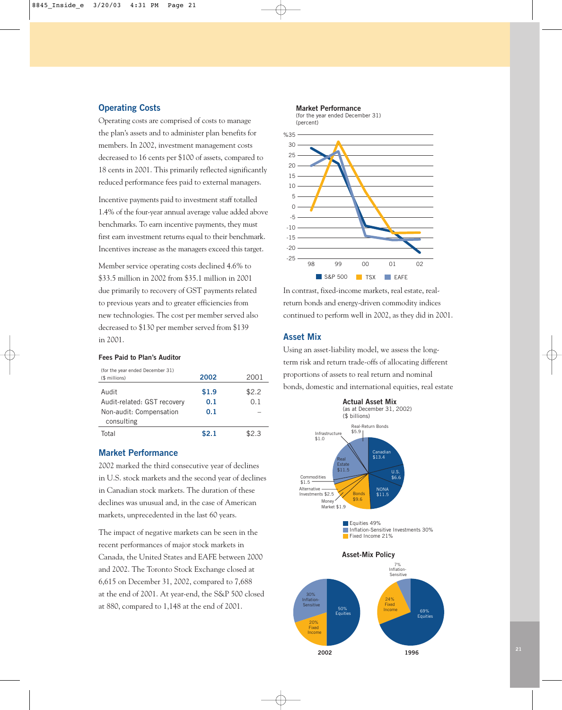#### **Operating Costs**

Operating costs are comprised of costs to manage the plan's assets and to administer plan benefits for members. In 2002, investment management costs decreased to 16 cents per \$100 of assets, compared to 18 cents in 2001. This primarily reflected significantly reduced performance fees paid to external managers.

Incentive payments paid to investment staff totalled 1.4% of the four-year annual average value added above benchmarks. To earn incentive payments, they must first earn investment returns equal to their benchmark. Incentives increase as the managers exceed this target.

Member service operating costs declined 4.6% to \$33.5 million in 2002 from \$35.1 million in 2001 due primarily to recovery of GST payments related to previous years and to greater efficiencies from new technologies. The cost per member served also decreased to \$130 per member served from \$139 in 2001.

#### **Fees Paid to Plan's Auditor**

| (for the year ended December 31)<br>(\$ millions) | 2002  | 2001  |
|---------------------------------------------------|-------|-------|
| Audit                                             | \$1.9 | \$2.2 |
| Audit-related: GST recovery                       | 0.1   | 0.1   |
| Non-audit: Compensation                           | 0.1   |       |
| consulting                                        |       |       |
| Total                                             | \$2.1 | \$2.3 |

#### **Market Performance**

2002 marked the third consecutive year of declines in U.S. stock markets and the second year of declines in Canadian stock markets. The duration of these declines was unusual and, in the case of American markets, unprecedented in the last 60 years.

The impact of negative markets can be seen in the recent performances of major stock markets in Canada, the United States and EAFE between 2000 and 2002. The Toronto Stock Exchange closed at 6,615 on December 31, 2002, compared to 7,688 at the end of 2001. At year-end, the S&P 500 closed at 880, compared to 1,148 at the end of 2001.



In contrast, fixed-income markets, real estate, realreturn bonds and energy-driven commodity indices continued to perform well in 2002, as they did in 2001.

#### **Asset Mix**

Using an asset-liability model, we assess the longterm risk and return trade-offs of allocating different proportions of assets to real return and nominal bonds, domestic and international equities, real estate

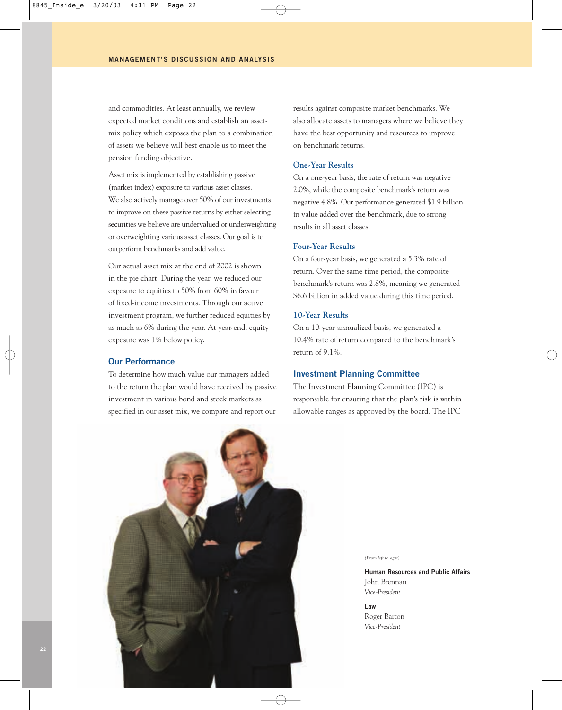and commodities. At least annually, we review expected market conditions and establish an assetmix policy which exposes the plan to a combination of assets we believe will best enable us to meet the pension funding objective.

Asset mix is implemented by establishing passive (market index) exposure to various asset classes. We also actively manage over 50% of our investments to improve on these passive returns by either selecting securities we believe are undervalued or underweighting or overweighting various asset classes. Our goal is to outperform benchmarks and add value.

Our actual asset mix at the end of 2002 is shown in the pie chart. During the year, we reduced our exposure to equities to 50% from 60% in favour of fixed-income investments. Through our active investment program, we further reduced equities by as much as 6% during the year. At year-end, equity exposure was 1% below policy.

## **Our Performance**

To determine how much value our managers added to the return the plan would have received by passive investment in various bond and stock markets as specified in our asset mix, we compare and report our

results against composite market benchmarks. We also allocate assets to managers where we believe they have the best opportunity and resources to improve on benchmark returns.

## **One-Year Results**

On a one-year basis, the rate of return was negative 2.0%, while the composite benchmark's return was negative 4.8%. Our performance generated \$1.9 billion in value added over the benchmark, due to strong results in all asset classes.

## **Four-Year Results**

On a four-year basis, we generated a 5.3% rate of return. Over the same time period, the composite benchmark's return was 2.8%, meaning we generated \$6.6 billion in added value during this time period.

#### **10-Year Results**

On a 10-year annualized basis, we generated a 10.4% rate of return compared to the benchmark's return of 9.1%.

#### **Investment Planning Committee**

The Investment Planning Committee (IPC) is responsible for ensuring that the plan's risk is within allowable ranges as approved by the board. The IPC



*(From left to right)* 

**Human Resources and Public Affairs** John Brennan *Vice-President*

**Law**  Roger Barton *Vice-President*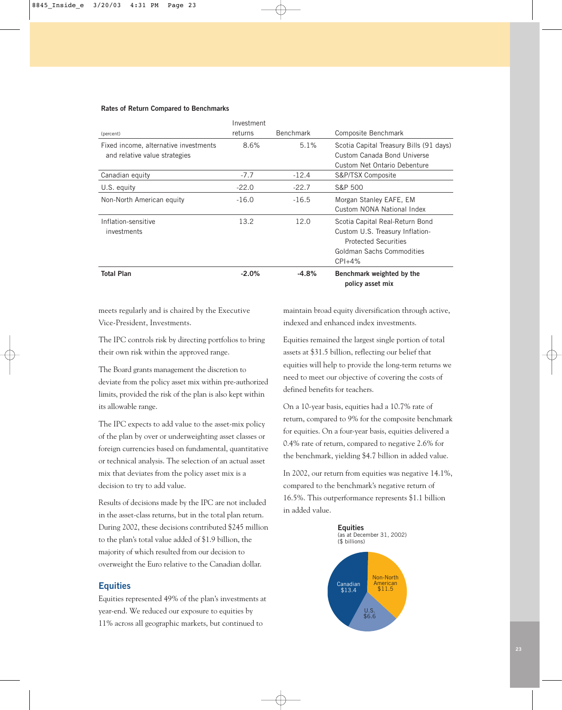#### **Rates of Return Compared to Benchmarks**

|                                       | Investment |                  |                                         |
|---------------------------------------|------------|------------------|-----------------------------------------|
| (percent)                             | returns    | <b>Benchmark</b> | Composite Benchmark                     |
| Fixed income, alternative investments | 8.6%       | 5.1%             | Scotia Capital Treasury Bills (91 days) |
| and relative value strategies         |            |                  | Custom Canada Bond Universe             |
|                                       |            |                  | Custom Net Ontario Debenture            |
| Canadian equity                       | $-7.7$     | $-12.4$          | S&P/TSX Composite                       |
| U.S. equity                           | $-22.0$    | $-22.7$          | S&P 500                                 |
| Non-North American equity             | $-16.0$    | $-16.5$          | Morgan Stanley EAFE, EM                 |
|                                       |            |                  | Custom NONA National Index              |
| Inflation-sensitive                   | 13.2       | 12.0             | Scotia Capital Real-Return Bond         |
| investments                           |            |                  | Custom U.S. Treasury Inflation-         |
|                                       |            |                  | <b>Protected Securities</b>             |
|                                       |            |                  | Goldman Sachs Commodities               |
|                                       |            |                  | $CPI + 4%$                              |
| <b>Total Plan</b>                     | $-2.0%$    | $-4.8%$          | Benchmark weighted by the               |
|                                       |            |                  | policy asset mix                        |

meets regularly and is chaired by the Executive Vice-President, Investments.

The IPC controls risk by directing portfolios to bring their own risk within the approved range.

The Board grants management the discretion to deviate from the policy asset mix within pre-authorized limits, provided the risk of the plan is also kept within its allowable range.

The IPC expects to add value to the asset-mix policy of the plan by over or underweighting asset classes or foreign currencies based on fundamental, quantitative or technical analysis. The selection of an actual asset mix that deviates from the policy asset mix is a decision to try to add value.

Results of decisions made by the IPC are not included in the asset-class returns, but in the total plan return. During 2002, these decisions contributed \$245 million to the plan's total value added of \$1.9 billion, the majority of which resulted from our decision to overweight the Euro relative to the Canadian dollar.

## **Equities**

Equities represented 49% of the plan's investments at year-end. We reduced our exposure to equities by 11% across all geographic markets, but continued to

maintain broad equity diversification through active, indexed and enhanced index investments.

Equities remained the largest single portion of total assets at \$31.5 billion, reflecting our belief that equities will help to provide the long-term returns we need to meet our objective of covering the costs of defined benefits for teachers.

On a 10-year basis, equities had a 10.7% rate of return, compared to 9% for the composite benchmark for equities. On a four-year basis, equities delivered a 0.4% rate of return, compared to negative 2.6% for the benchmark, yielding \$4.7 billion in added value.

In 2002, our return from equities was negative 14.1%, compared to the benchmark's negative return of 16.5%. This outperformance represents \$1.1 billion in added value.

**Equities**

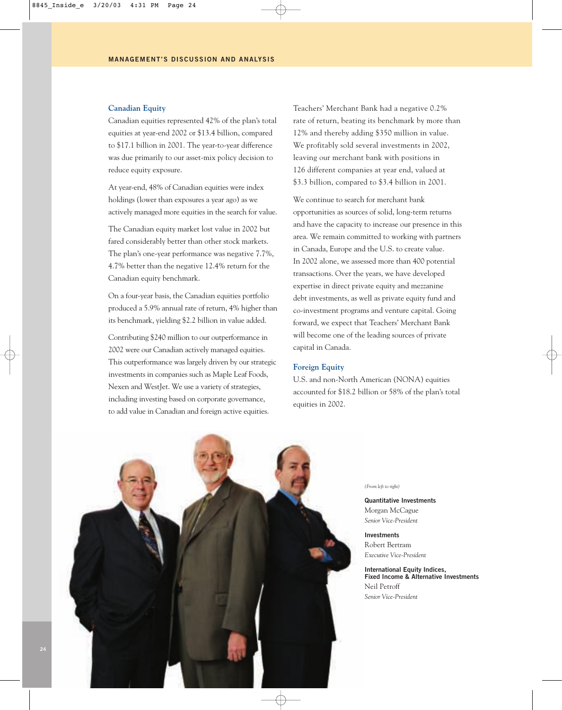#### **Canadian Equity**

Canadian equities represented 42% of the plan's total equities at year-end 2002 or \$13.4 billion, compared to \$17.1 billion in 2001. The year-to-year difference was due primarily to our asset-mix policy decision to reduce equity exposure.

At year-end, 48% of Canadian equities were index holdings (lower than exposures a year ago) as we actively managed more equities in the search for value.

The Canadian equity market lost value in 2002 but fared considerably better than other stock markets. The plan's one-year performance was negative 7.7%, 4.7% better than the negative 12.4% return for the Canadian equity benchmark.

On a four-year basis, the Canadian equities portfolio produced a 5.9% annual rate of return, 4% higher than its benchmark, yielding \$2.2 billion in value added.

Contributing \$240 million to our outperformance in 2002 were our Canadian actively managed equities. This outperformance was largely driven by our strategic investments in companies such as Maple Leaf Foods, Nexen and WestJet. We use a variety of strategies, including investing based on corporate governance, to add value in Canadian and foreign active equities.

Teachers' Merchant Bank had a negative 0.2% rate of return, beating its benchmark by more than 12% and thereby adding \$350 million in value. We profitably sold several investments in 2002, leaving our merchant bank with positions in 126 different companies at year end, valued at \$3.3 billion, compared to \$3.4 billion in 2001.

We continue to search for merchant bank opportunities as sources of solid, long-term returns and have the capacity to increase our presence in this area. We remain committed to working with partners in Canada, Europe and the U.S. to create value. In 2002 alone, we assessed more than 400 potential transactions. Over the years, we have developed expertise in direct private equity and mezzanine debt investments, as well as private equity fund and co-investment programs and venture capital. Going forward, we expect that Teachers' Merchant Bank will become one of the leading sources of private capital in Canada.

#### **Foreign Equity**

U.S. and non-North American (NONA) equities accounted for \$18.2 billion or 58% of the plan's total equities in 2002.



*(From left to right)* 

**Quantitative Investments** Morgan McCague *Senior Vice-President*

**Investments** Robert Bertram *Executive Vice-President*

**International Equity Indices, Fixed Income & Alternative Investments** Neil Petroff *Senior Vice-President*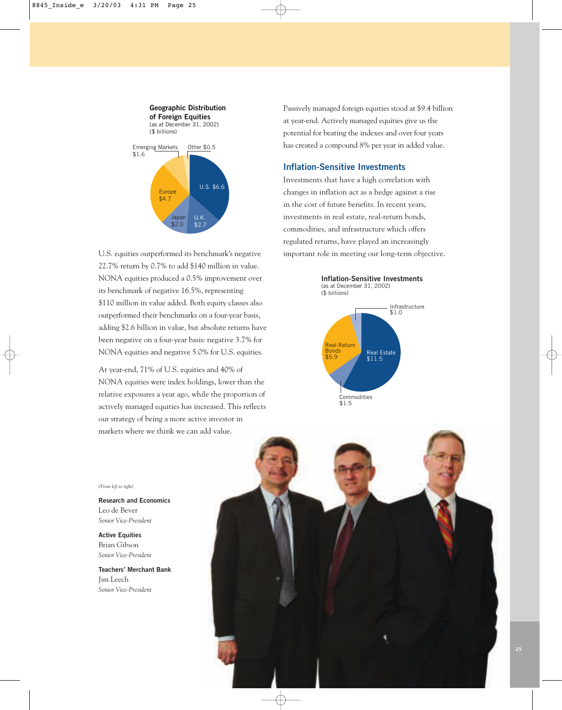

U.S. equities outperformed its benchmark's negative 22.7% return by 0.7% to add \$140 million in value. NONA equities produced a 0.5% improvement over its benchmark of negative 16.5%, representing \$110 million in value added. Both equity classes also outperformed their benchmarks on a four-year basis, adding \$2.6 billion in value, but absolute returns have been negative on a four-year basis: negative 3.7% for NONA equities and negative 5.0% for U.S. equities.

At year-end, 71% of U.S. equities and 40% of NONA equities were index holdings, lower than the relative exposures a year ago, while the proportion of actively managed equities has increased. This reflects our strategy of being a more active investor in markets where we think we can add value.

Passively managed foreign equities stood at \$9.4 billion at year-end. Actively managed equities give us the potential for beating the indexes and over four years has created a compound 8% per year in added value.

## **Inflation-Sensitive Investments**

Investments that have a high correlation with changes in inflation act as a hedge against a rise in the cost of future benefits. In recent years, investments in real estate, real-return bonds, commodities, and infrastructure which offers regulated returns, have played an increasingly important role in meeting our long-term objective.



*(From left to right)* 

**Research and Economics** Leo de Bever *Senior Vice-President*

**Active Equities** Brian Gibson *Senior Vice-President*

**Teachers' Merchant Bank** Jim Leech *Senior Vice-President*

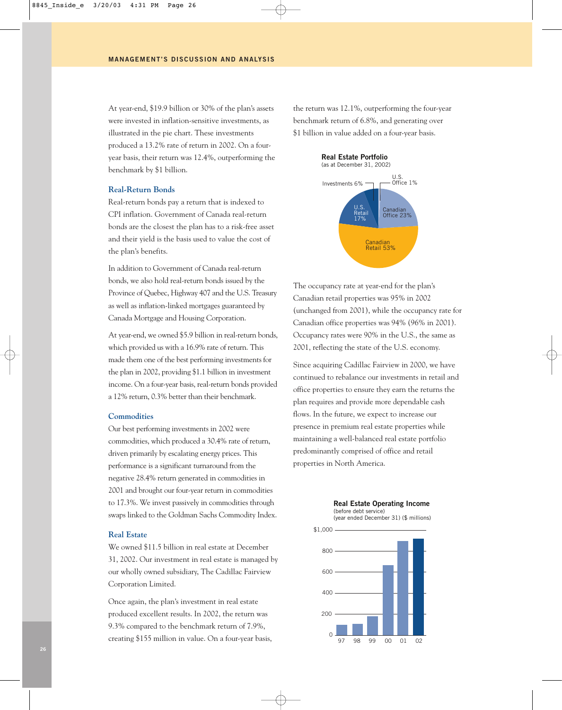At year-end, \$19.9 billion or 30% of the plan's assets were invested in inflation-sensitive investments, as illustrated in the pie chart. These investments produced a 13.2% rate of return in 2002. On a fouryear basis, their return was 12.4%, outperforming the benchmark by \$1 billion.

#### **Real-Return Bonds**

Real-return bonds pay a return that is indexed to CPI inflation. Government of Canada real-return bonds are the closest the plan has to a risk-free asset and their yield is the basis used to value the cost of the plan's benefits.

In addition to Government of Canada real-return bonds, we also hold real-return bonds issued by the Province of Quebec, Highway 407 and the U.S. Treasury as well as inflation-linked mortgages guaranteed by Canada Mortgage and Housing Corporation.

At year-end, we owned \$5.9 billion in real-return bonds, which provided us with a 16.9% rate of return. This made them one of the best performing investments for the plan in 2002, providing \$1.1 billion in investment income. On a four-year basis, real-return bonds provided a 12% return, 0.3% better than their benchmark.

#### **Commodities**

Our best performing investments in 2002 were commodities, which produced a 30.4% rate of return, driven primarily by escalating energy prices. This performance is a significant turnaround from the negative 28.4% return generated in commodities in 2001 and brought our four-year return in commodities to 17.3%. We invest passively in commodities through swaps linked to the Goldman Sachs Commodity Index.

#### **Real Estate**

We owned \$11.5 billion in real estate at December 31, 2002. Our investment in real estate is managed by our wholly owned subsidiary, The Cadillac Fairview Corporation Limited.

Once again, the plan's investment in real estate produced excellent results. In 2002, the return was 9.3% compared to the benchmark return of 7.9%, creating \$155 million in value. On a four-year basis, the return was 12.1%, outperforming the four-year benchmark return of 6.8%, and generating over \$1 billion in value added on a four-year basis.



The occupancy rate at year-end for the plan's Canadian retail properties was 95% in 2002 (unchanged from 2001), while the occupancy rate for Canadian office properties was 94% (96% in 2001). Occupancy rates were 90% in the U.S., the same as 2001, reflecting the state of the U.S. economy.

Since acquiring Cadillac Fairview in 2000, we have continued to rebalance our investments in retail and office properties to ensure they earn the returns the plan requires and provide more dependable cash flows. In the future, we expect to increase our presence in premium real estate properties while maintaining a well-balanced real estate portfolio predominantly comprised of office and retail properties in North America.



## **Real Estate Operating Income** (before debt service)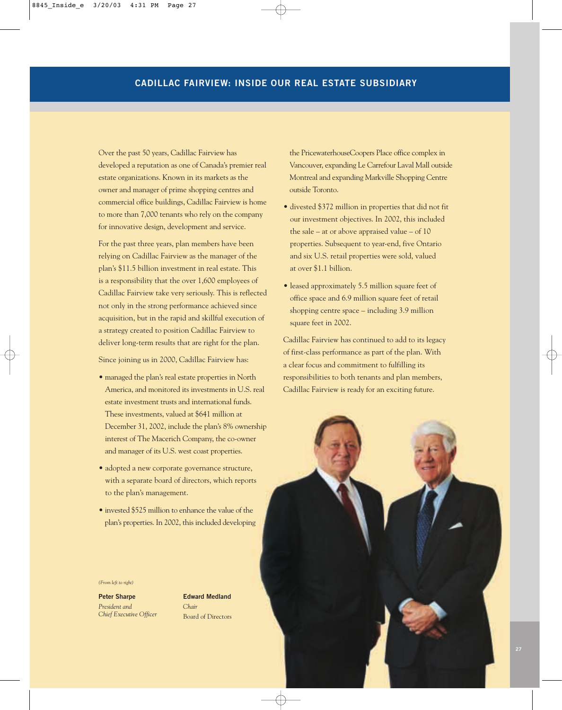Over the past 50 years, Cadillac Fairview has developed a reputation as one of Canada's premier real estate organizations. Known in its markets as the owner and manager of prime shopping centres and commercial office buildings, Cadillac Fairview is home to more than 7,000 tenants who rely on the company for innovative design, development and service.

For the past three years, plan members have been relying on Cadillac Fairview as the manager of the plan's \$11.5 billion investment in real estate. This is a responsibility that the over 1,600 employees of Cadillac Fairview take very seriously. This is reflected not only in the strong performance achieved since acquisition, but in the rapid and skillful execution of a strategy created to position Cadillac Fairview to deliver long-term results that are right for the plan.

Since joining us in 2000, Cadillac Fairview has:

- managed the plan's real estate properties in North America, and monitored its investments in U.S. real estate investment trusts and international funds. These investments, valued at \$641 million at December 31, 2002, include the plan's 8% ownership interest of The Macerich Company, the co-owner and manager of its U.S. west coast properties.
- adopted a new corporate governance structure, with a separate board of directors, which reports to the plan's management.
- invested \$525 million to enhance the value of the plan's properties. In 2002, this included developing

**Edward Medland**

Board of Directors

*Chair*

*(From left to right)*  **Peter Sharpe** *President and Chief Executive Officer*



the PricewaterhouseCoopers Place office complex in Vancouver, expanding Le Carrefour Laval Mall outside Montreal and expanding Markville Shopping Centre outside Toronto.

- divested \$372 million in properties that did not fit our investment objectives. In 2002, this included the sale – at or above appraised value – of 10 properties. Subsequent to year-end, five Ontario and six U.S. retail properties were sold, valued at over \$1.1 billion.
- leased approximately 5.5 million square feet of office space and 6.9 million square feet of retail shopping centre space – including 3.9 million square feet in 2002.

Cadillac Fairview has continued to add to its legacy of first-class performance as part of the plan. With a clear focus and commitment to fulfilling its responsibilities to both tenants and plan members, Cadillac Fairview is ready for an exciting future.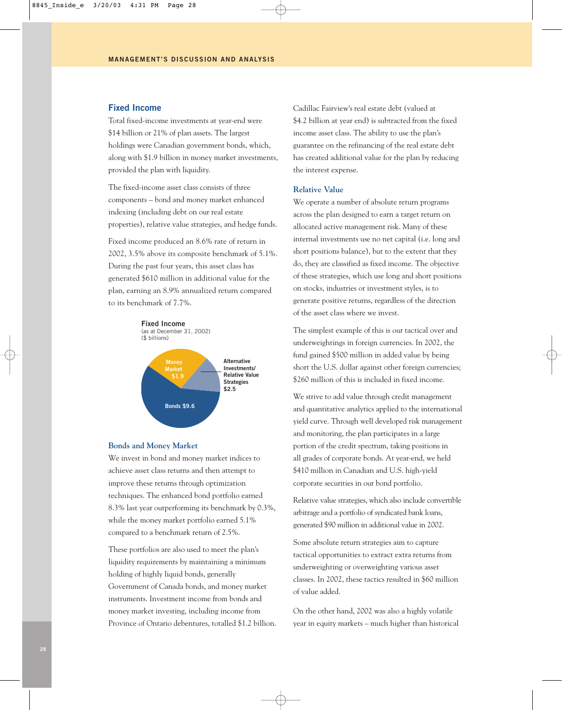#### **Fixed Income**

Total fixed-income investments at year-end were \$14 billion or 21% of plan assets. The largest holdings were Canadian government bonds, which, along with \$1.9 billion in money market investments, provided the plan with liquidity.

The fixed-income asset class consists of three components – bond and money market enhanced indexing (including debt on our real estate properties), relative value strategies, and hedge funds.

Fixed income produced an 8.6% rate of return in 2002, 3.5% above its composite benchmark of 5.1%. During the past four years, this asset class has generated \$610 million in additional value for the plan, earning an 8.9% annualized return compared to its benchmark of 7.7%.

**Fixed Income**

(as at December 31, 2002) (\$ billions)



#### **Bonds and Money Market**

We invest in bond and money market indices to achieve asset class returns and then attempt to improve these returns through optimization techniques. The enhanced bond portfolio earned 8.3% last year outperforming its benchmark by 0.3%, while the money market portfolio earned 5.1% compared to a benchmark return of 2.5%.

These portfolios are also used to meet the plan's liquidity requirements by maintaining a minimum holding of highly liquid bonds, generally Government of Canada bonds, and money market instruments. Investment income from bonds and money market investing, including income from Province of Ontario debentures, totalled \$1.2 billion. Cadillac Fairview's real estate debt (valued at \$4.2 billion at year end) is subtracted from the fixed income asset class. The ability to use the plan's guarantee on the refinancing of the real estate debt has created additional value for the plan by reducing the interest expense.

#### **Relative Value**

We operate a number of absolute return programs across the plan designed to earn a target return on allocated active management risk. Many of these internal investments use no net capital (i.e. long and short positions balance), but to the extent that they do, they are classified as fixed income. The objective of these strategies, which use long and short positions on stocks, industries or investment styles, is to generate positive returns, regardless of the direction of the asset class where we invest.

The simplest example of this is our tactical over and underweightings in foreign currencies. In 2002, the fund gained \$500 million in added value by being short the U.S. dollar against other foreign currencies; \$260 million of this is included in fixed income.

We strive to add value through credit management and quantitative analytics applied to the international yield curve. Through well developed risk management and monitoring, the plan participates in a large portion of the credit spectrum, taking positions in all grades of corporate bonds. At year-end, we held \$410 million in Canadian and U.S. high-yield corporate securities in our bond portfolio.

Relative value strategies, which also include convertible arbitrage and a portfolio of syndicated bank loans, generated \$90 million in additional value in 2002.

Some absolute return strategies aim to capture tactical opportunities to extract extra returns from underweighting or overweighting various asset classes. In 2002, these tactics resulted in \$60 million of value added.

On the other hand, 2002 was also a highly volatile year in equity markets – much higher than historical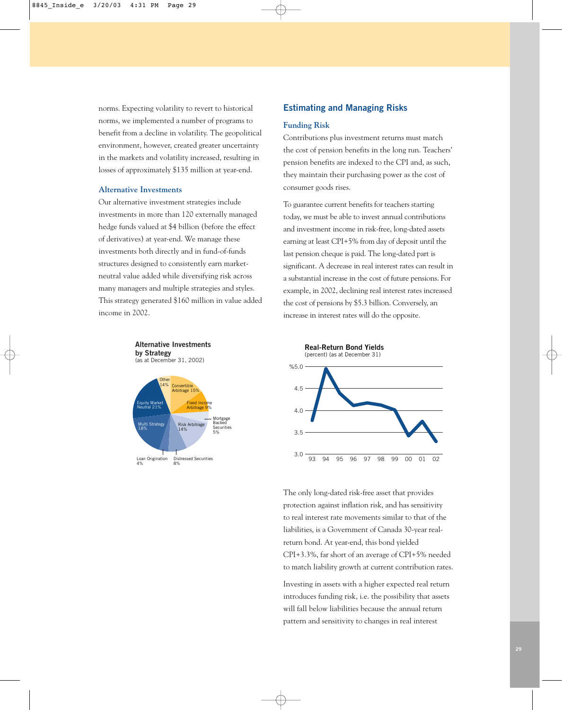norms. Expecting volatility to revert to historical norms, we implemented a number of programs to benefit from a decline in volatility. The geopolitical environment, however, created greater uncertainty in the markets and volatility increased, resulting in losses of approximately \$135 million at year-end.

#### **Alternative Investments**

Our alternative investment strategies include investments in more than 120 externally managed hedge funds valued at \$4 billion (before the effect of derivatives) at year-end. We manage these investments both directly and in fund-of-funds structures designed to consistently earn marketneutral value added while diversifying risk across many managers and multiple strategies and styles. This strategy generated \$160 million in value added income in 2002.



#### **Estimating and Managing Risks**

#### **Funding Risk**

Contributions plus investment returns must match the cost of pension benefits in the long run. Teachers' pension benefits are indexed to the CPI and, as such, they maintain their purchasing power as the cost of consumer goods rises.

To guarantee current benefits for teachers starting today, we must be able to invest annual contributions and investment income in risk-free, long-dated assets earning at least CPI+5% from day of deposit until the last pension cheque is paid. The long-dated part is significant. A decrease in real interest rates can result in a substantial increase in the cost of future pensions. For example, in 2002, declining real interest rates increased the cost of pensions by \$5.3 billion. Conversely, an increase in interest rates will do the opposite.



The only long-dated risk-free asset that provides protection against inflation risk, and has sensitivity to real interest rate movements similar to that of the liabilities, is a Government of Canada 30-year realreturn bond. At year-end, this bond yielded CPI+3.3%, far short of an average of CPI+5% needed to match liability growth at current contribution rates.

Investing in assets with a higher expected real return introduces funding risk, i.e. the possibility that assets will fall below liabilities because the annual return pattern and sensitivity to changes in real interest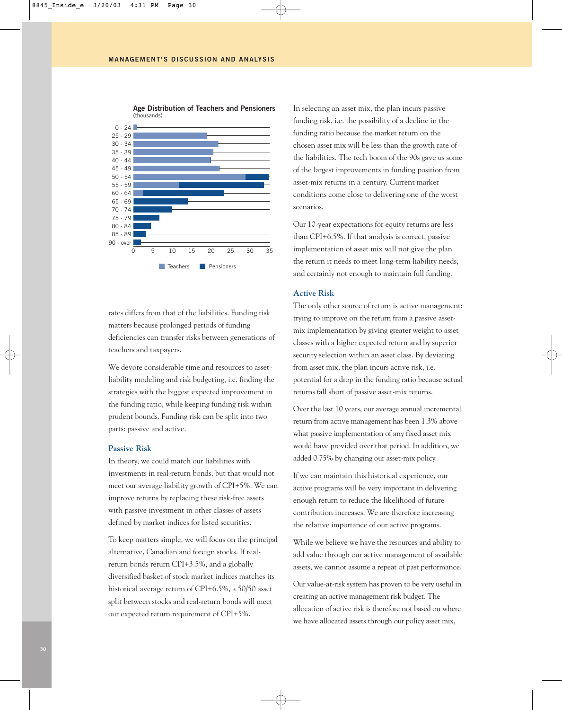

**Age Distribution of Teachers and Pensioners** (thousands)

rates differs from that of the liabilities. Funding risk matters because prolonged periods of funding deficiencies can transfer risks between generations of teachers and taxpayers.

We devote considerable time and resources to assetliability modeling and risk budgeting, i.e. finding the strategies with the biggest expected improvement in the funding ratio, while keeping funding risk within prudent bounds. Funding risk can be split into two parts: passive and active.

#### **Passive Risk**

In theory, we could match our liabilities with investments in real-return bonds, but that would not meet our average liability growth of CPI+5%. We can improve returns by replacing these risk-free assets with passive investment in other classes of assets defined by market indices for listed securities.

To keep matters simple, we will focus on the principal alternative, Canadian and foreign stocks. If realreturn bonds return CPI+3.5%, and a globally diversified basket of stock market indices matches its historical average return of CPI+6.5%, a 50/50 asset split between stocks and real-return bonds will meet our expected return requirement of CPI+5%.

In selecting an asset mix, the plan incurs passive funding risk, i.e. the possibility of a decline in the funding ratio because the market return on the chosen asset mix will be less than the growth rate of the liabilities. The tech boom of the 90s gave us some of the largest improvements in funding position from asset-mix returns in a century. Current market conditions come close to delivering one of the worst scenarios.

Our 10-year expectations for equity returns are less than CPI+6.5%. If that analysis is correct, passive implementation of asset mix will not give the plan the return it needs to meet long-term liability needs, and certainly not enough to maintain full funding.

#### **Active Risk**

The only other source of return is active management: trying to improve on the return from a passive assetmix implementation by giving greater weight to asset classes with a higher expected return and by superior security selection within an asset class. By deviating from asset mix, the plan incurs active risk, i.e. potential for a drop in the funding ratio because actual returns fall short of passive asset-mix returns.

Over the last 10 years, our average annual incremental return from active management has been 1.3% above what passive implementation of any fixed asset mix would have provided over that period. In addition, we added 0.75% by changing our asset-mix policy.

If we can maintain this historical experience, our active programs will be very important in delivering enough return to reduce the likelihood of future contribution increases. We are therefore increasing the relative importance of our active programs.

While we believe we have the resources and ability to add value through our active management of available assets, we cannot assume a repeat of past performance.

Our value-at-risk system has proven to be very useful in creating an active management risk budget. The allocation of active risk is therefore not based on where we have allocated assets through our policy asset mix,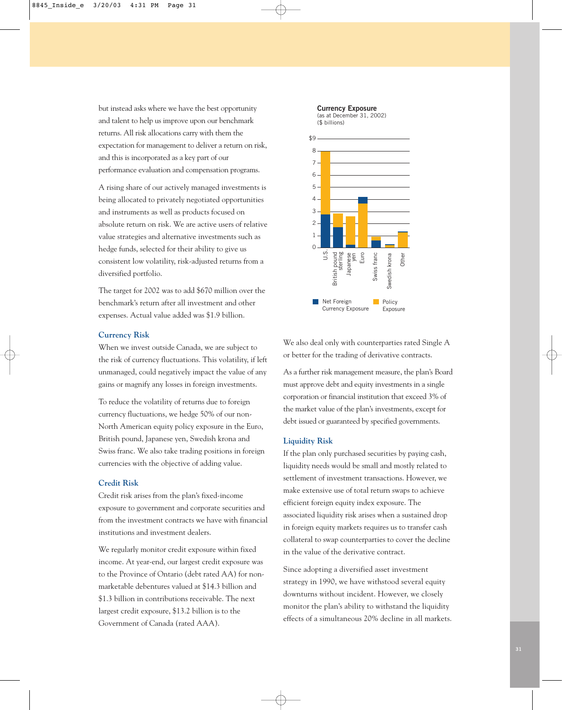but instead asks where we have the best opportunity and talent to help us improve upon our benchmark returns. All risk allocations carry with them the expectation for management to deliver a return on risk, and this is incorporated as a key part of our performance evaluation and compensation programs.

A rising share of our actively managed investments is being allocated to privately negotiated opportunities and instruments as well as products focused on absolute return on risk. We are active users of relative value strategies and alternative investments such as hedge funds, selected for their ability to give us consistent low volatility, risk-adjusted returns from a diversified portfolio.

The target for 2002 was to add \$670 million over the benchmark's return after all investment and other expenses. Actual value added was \$1.9 billion.

#### **Currency Risk**

When we invest outside Canada, we are subject to the risk of currency fluctuations. This volatility, if left unmanaged, could negatively impact the value of any gains or magnify any losses in foreign investments.

To reduce the volatility of returns due to foreign currency fluctuations, we hedge 50% of our non-North American equity policy exposure in the Euro, British pound, Japanese yen, Swedish krona and Swiss franc. We also take trading positions in foreign currencies with the objective of adding value.

#### **Credit Risk**

Credit risk arises from the plan's fixed-income exposure to government and corporate securities and from the investment contracts we have with financial institutions and investment dealers.

We regularly monitor credit exposure within fixed income. At year-end, our largest credit exposure was to the Province of Ontario (debt rated AA) for nonmarketable debentures valued at \$14.3 billion and \$1.3 billion in contributions receivable. The next largest credit exposure, \$13.2 billion is to the Government of Canada (rated AAA).



We also deal only with counterparties rated Single A or better for the trading of derivative contracts.

As a further risk management measure, the plan's Board must approve debt and equity investments in a single corporation or financial institution that exceed 3% of the market value of the plan's investments, except for debt issued or guaranteed by specified governments.

#### **Liquidity Risk**

If the plan only purchased securities by paying cash, liquidity needs would be small and mostly related to settlement of investment transactions. However, we make extensive use of total return swaps to achieve efficient foreign equity index exposure. The associated liquidity risk arises when a sustained drop in foreign equity markets requires us to transfer cash collateral to swap counterparties to cover the decline in the value of the derivative contract.

Since adopting a diversified asset investment strategy in 1990, we have withstood several equity downturns without incident. However, we closely monitor the plan's ability to withstand the liquidity effects of a simultaneous 20% decline in all markets.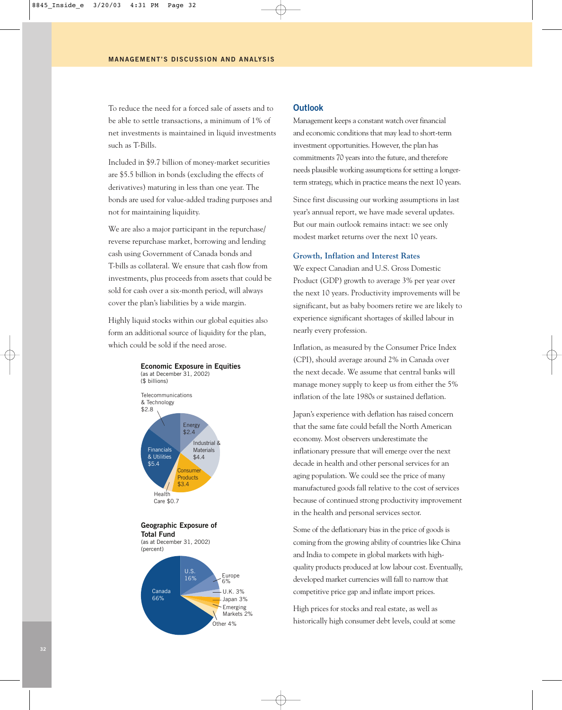To reduce the need for a forced sale of assets and to be able to settle transactions, a minimum of 1% of net investments is maintained in liquid investments such as T-Bills.

Included in \$9.7 billion of money-market securities are \$5.5 billion in bonds (excluding the effects of derivatives) maturing in less than one year. The bonds are used for value-added trading purposes and not for maintaining liquidity.

We are also a major participant in the repurchase/ reverse repurchase market, borrowing and lending cash using Government of Canada bonds and T-bills as collateral. We ensure that cash flow from investments, plus proceeds from assets that could be sold for cash over a six-month period, will always cover the plan's liabilities by a wide margin.

Highly liquid stocks within our global equities also form an additional source of liquidity for the plan, which could be sold if the need arose.



#### **Outlook**

Management keeps a constant watch over financial and economic conditions that may lead to short-term investment opportunities. However, the plan has commitments 70 years into the future, and therefore needs plausible working assumptions for setting a longerterm strategy, which in practice means the next 10 years.

Since first discussing our working assumptions in last year's annual report, we have made several updates. But our main outlook remains intact: we see only modest market returns over the next 10 years.

#### **Growth, Inflation and Interest Rates**

We expect Canadian and U.S. Gross Domestic Product (GDP) growth to average 3% per year over the next 10 years. Productivity improvements will be significant, but as baby boomers retire we are likely to experience significant shortages of skilled labour in nearly every profession.

Inflation, as measured by the Consumer Price Index (CPI), should average around 2% in Canada over the next decade. We assume that central banks will manage money supply to keep us from either the 5% inflation of the late 1980s or sustained deflation.

Japan's experience with deflation has raised concern that the same fate could befall the North American economy. Most observers underestimate the inflationary pressure that will emerge over the next decade in health and other personal services for an aging population. We could see the price of many manufactured goods fall relative to the cost of services because of continued strong productivity improvement in the health and personal services sector.

Some of the deflationary bias in the price of goods is coming from the growing ability of countries like China and India to compete in global markets with highquality products produced at low labour cost. Eventually, developed market currencies will fall to narrow that competitive price gap and inflate import prices.

High prices for stocks and real estate, as well as historically high consumer debt levels, could at some